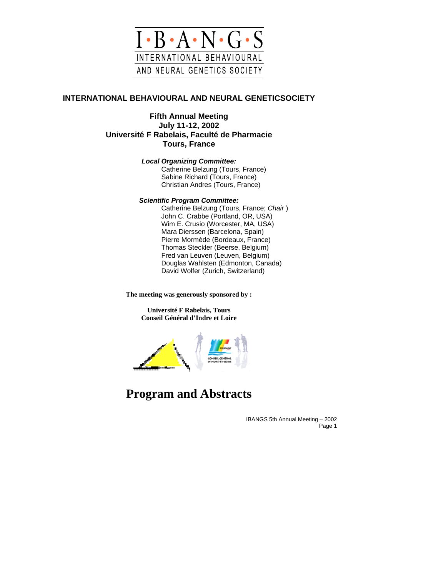

## **INTERNATIONAL BEHAVIOURAL AND NEURAL GENETICSOCIETY**

**Fifth Annual Meeting July 11-12, 2002 Université F Rabelais, Faculté de Pharmacie Tours, France** 

*Local Organizing Committee:*

Catherine Belzung (Tours, France) Sabine Richard (Tours, France) Christian Andres (Tours, France)

#### *Scientific Program Committee:*

Catherine Belzung (Tours, France; *Chair* ) John C. Crabbe (Portland, OR, USA) Wim E. Crusio (Worcester, MA, USA) Mara Dierssen (Barcelona, Spain) Pierre Mormède (Bordeaux, France) Thomas Steckler (Beerse, Belgium) Fred van Leuven (Leuven, Belgium) Douglas Wahlsten (Edmonton, Canada) David Wolfer (Zurich, Switzerland)

**The meeting was generously sponsored by :** 

**Université F Rabelais, Tours Conseil Général d'Indre et Loire** 



# **Program and Abstracts**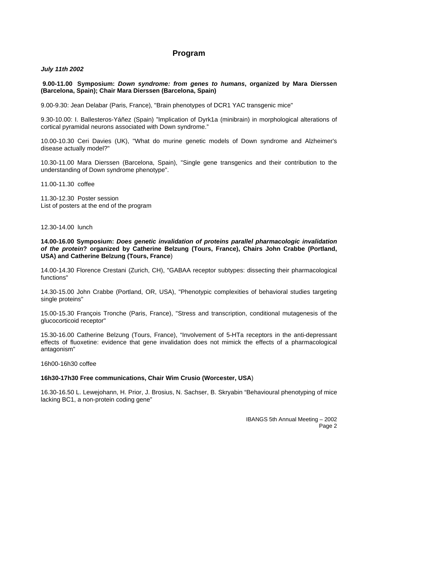#### **Program**

#### *July 11th 2002*

**9.00-11.00 Symposium:** *Down syndrome: from genes to humans***, organized by Mara Dierssen (Barcelona, Spain); Chair Mara Dierssen (Barcelona, Spain)** 

9.00-9.30: Jean Delabar (Paris, France), "Brain phenotypes of DCR1 YAC transgenic mice"

9.30-10.00: I. Ballesteros-Yáñez (Spain) "Implication of Dyrk1a (minibrain) in morphological alterations of cortical pyramidal neurons associated with Down syndrome."

10.00-10.30 Ceri Davies (UK), "What do murine genetic models of Down syndrome and Alzheimer's disease actually model?"

10.30-11.00 Mara Dierssen (Barcelona, Spain), "Single gene transgenics and their contribution to the understanding of Down syndrome phenotype".

11.00-11.30 coffee

11.30-12.30 Poster session List of posters at the end of the program

12.30-14.00 lunch

**14.00-16.00 Symposium:** *Does genetic invalidation of proteins parallel pharmacologic invalidation of the protein***? organized by Catherine Belzung (Tours, France), Chairs John Crabbe (Portland, USA) and Catherine Belzung (Tours, France**)

14.00-14.30 Florence Crestani (Zurich, CH), "GABAA receptor subtypes: dissecting their pharmacological functions"

14.30-15.00 John Crabbe (Portland, OR, USA), "Phenotypic complexities of behavioral studies targeting single proteins"

15.00-15.30 François Tronche (Paris, France), "Stress and transcription, conditional mutagenesis of the glucocorticoid receptor"

15.30-16.00 Catherine Belzung (Tours, France), "Involvement of 5-HTa receptors in the anti-depressant effects of fluoxetine: evidence that gene invalidation does not mimick the effects of a pharmacological antagonism"

16h00-16h30 coffee

#### **16h30-17h30 Free communications, Chair Wim Crusio (Worcester, USA**)

16.30-16.50 L. Lewejohann, H. Prior, J. Brosius, N. Sachser, B. Skryabin "Behavioural phenotyping of mice lacking BC1, a non-protein coding gene"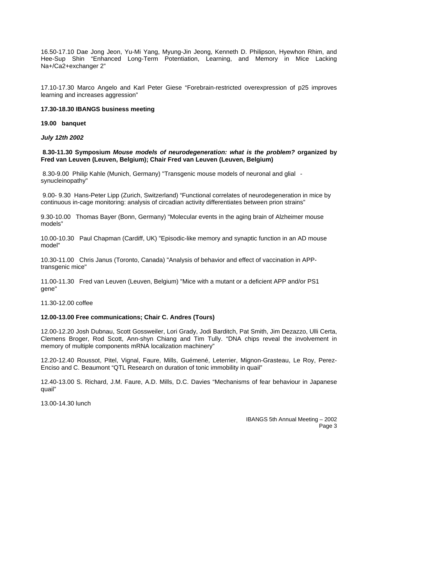16.50-17.10 Dae Jong Jeon, Yu-Mi Yang, Myung-Jin Jeong, Kenneth D. Philipson, Hyewhon Rhim, and Hee-Sup Shin "Enhanced Long-Term Potentiation, Learning, and Memory in Mice Lacking Na+/Ca2+exchanger 2"

17.10-17.30 Marco Angelo and Karl Peter Giese "Forebrain-restricted overexpression of p25 improves learning and increases aggression"

#### **17.30-18.30 IBANGS business meeting**

#### **19.00 banquet**

*July 12th 2002* 

**8.30-11.30 Symposium** *Mouse models of neurodegeneration: what is the problem?* **organized by Fred van Leuven (Leuven, Belgium); Chair Fred van Leuven (Leuven, Belgium)** 

8.30-9.00 Philip Kahle (Munich, Germany) "Transgenic mouse models of neuronal and glial synucleinopathy"

9.00- 9.30 Hans-Peter Lipp (Zurich, Switzerland) "Functional correlates of neurodegeneration in mice by continuous in-cage monitoring: analysis of circadian activity differentiates between prion strains"

9.30-10.00 Thomas Bayer (Bonn, Germany) "Molecular events in the aging brain of Alzheimer mouse models"

10.00-10.30 Paul Chapman (Cardiff, UK) "Episodic-like memory and synaptic function in an AD mouse model"

10.30-11.00 Chris Janus (Toronto, Canada) "Analysis of behavior and effect of vaccination in APPtransgenic mice"

11.00-11.30 Fred van Leuven (Leuven, Belgium) "Mice with a mutant or a deficient APP and/or PS1 gene"

11.30-12.00 coffee

#### **12.00-13.00 Free communications; Chair C. Andres (Tours)**

12.00-12.20 Josh Dubnau, Scott Gossweiler, Lori Grady, Jodi Barditch, Pat Smith, Jim Dezazzo, Ulli Certa, Clemens Broger, Rod Scott, Ann-shyn Chiang and Tim Tully. "DNA chips reveal the involvement in memory of multiple components mRNA localization machinery"

12.20-12.40 Roussot, Pitel, Vignal, Faure, Mills, Guémené, Leterrier, Mignon-Grasteau, Le Roy, Perez-Enciso and C. Beaumont "QTL Research on duration of tonic immobility in quail"

12.40-13.00 S. Richard, J.M. Faure, A.D. Mills, D.C. Davies "Mechanisms of fear behaviour in Japanese quail"

13.00-14.30 lunch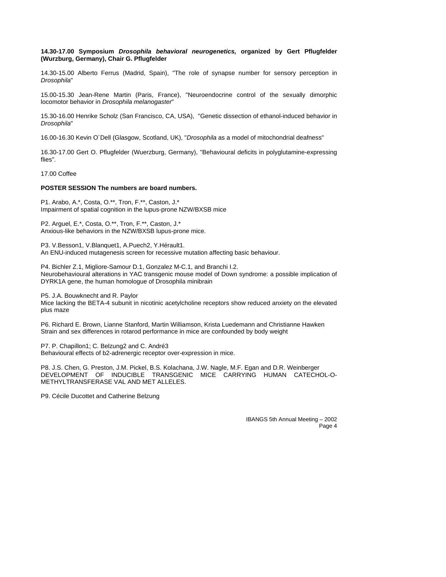#### **14.30-17.00 Symposium** *Drosophila behavioral neurogenetics,* **organized by Gert Pflugfelder (Wurzburg, Germany), Chair G. Pflugfelder**

14.30-15.00 Alberto Ferrus (Madrid, Spain), "The role of synapse number for sensory perception in *Drosophila*"

15.00-15.30 Jean-Rene Martin (Paris, France), "Neuroendocrine control of the sexually dimorphic locomotor behavior in *Drosophila melanogaster*"

15.30-16.00 Henrike Scholz (San Francisco, CA, USA), "Genetic dissection of ethanol-induced behavior in *Drosophila*"

16.00-16.30 Kevin O´Dell (Glasgow, Scotland, UK), "*Drosophila* as a model of mitochondrial deafness"

16.30-17.00 Gert O. Pflugfelder (Wuerzburg, Germany), "Behavioural deficits in polyglutamine-expressing flies".

17.00 Coffee

#### **POSTER SESSION The numbers are board numbers.**

P1. Arabo, A.\*, Costa, O.\*\*, Tron, F.\*\*, Caston, J.\* Impairment of spatial cognition in the lupus-prone NZW/BXSB mice

P2. Arguel, E.\*, Costa, O.\*\*, Tron, F.\*\*, Caston, J.\* Anxious-like behaviors in the NZW/BXSB lupus-prone mice.

P3. V.Besson1, V.Blanquet1, A.Puech2, Y.Hérault1. An ENU-induced mutagenesis screen for recessive mutation affecting basic behaviour.

P4. Bichler Z.1, Migliore-Samour D.1, Gonzalez M-C.1, and Branchi I.2. Neurobehavioural alterations in YAC transgenic mouse model of Down syndrome: a possible implication of DYRK1A gene, the human homologue of Drosophila minibrain

P5. J.A. Bouwknecht and R. Paylor

Mice lacking the BETA-4 subunit in nicotinic acetylcholine receptors show reduced anxiety on the elevated plus maze

P6. Richard E. Brown, Lianne Stanford, Martin Williamson, Krista Luedemann and Christianne Hawken Strain and sex differences in rotarod performance in mice are confounded by body weight

P7. P. Chapillon1; C. Belzung2 and C. André3 Behavioural effects of b2-adrenergic receptor over-expression in mice.

P8. J.S. Chen, G. Preston, J.M. Pickel, B.S. Kolachana, J.W. Nagle, M.F. Egan and D.R. Weinberger DEVELOPMENT OF INDUCIBLE TRANSGENIC MICE CARRYING HUMAN CATECHOL-O-METHYLTRANSFERASE VAL AND MET ALLELES.

P9. Cécile Ducottet and Catherine Belzung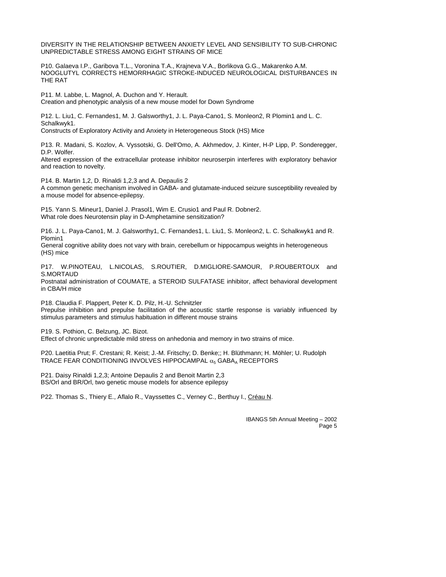DIVERSITY IN THE RELATIONSHIP BETWEEN ANXIETY LEVEL AND SENSIBILITY TO SUB-CHRONIC UNPREDICTABLE STRESS AMONG EIGHT STRAINS OF MICE

P10. Galaeva I.P., Garibova T.L., Voronina T.A., Krajneva V.A., Borlikova G.G., Makarenko A.M. NOOGLUTYL CORRECTS HEMORRHAGIC STROKE-INDUCED NEUROLOGICAL DISTURBANCES IN THE RAT

P11. M. Labbe, L. Magnol, A. Duchon and Y. Herault. Creation and phenotypic analysis of a new mouse model for Down Syndrome

P12. L. Liu1, C. Fernandes1, M. J. Galsworthy1, J. L. Paya-Cano1, S. Monleon2, R Plomin1 and L. C. Schalkwyk1.

Constructs of Exploratory Activity and Anxiety in Heterogeneous Stock (HS) Mice

P13. R. Madani, S. Kozlov, A. Vyssotski, G. Dell'Omo, A. Akhmedov, J. Kinter, H-P Lipp, P. Sonderegger, D.P. Wolfer.

Altered expression of the extracellular protease inhibitor neuroserpin interferes with exploratory behavior and reaction to novelty.

P14. B. Martin 1,2, D. Rinaldi 1,2,3 and A. Depaulis 2 A common genetic mechanism involved in GABA- and glutamate-induced seizure susceptibility revealed by a mouse model for absence-epilepsy.

P15. Yann S. Mineur1, Daniel J. Prasol1, Wim E. Crusio1 and Paul R. Dobner2. What role does Neurotensin play in D-Amphetamine sensitization?

P16. J. L. Paya-Cano1, M. J. Galsworthy1, C. Fernandes1, L. Liu1, S. Monleon2, L. C. Schalkwyk1 and R. Plomin1

General cognitive ability does not vary with brain, cerebellum or hippocampus weights in heterogeneous (HS) mice

P17. W.PINOTEAU, L.NICOLAS, S.ROUTIER, D.MIGLIORE-SAMOUR, P.ROUBERTOUX and S.MORTAUD Postnatal administration of COUMATE, a STEROID SULFATASE inhibitor, affect behavioral development

in CBA/H mice

P18. Claudia F. Plappert, Peter K. D. Pilz, H.-U. Schnitzler Prepulse inhibition and prepulse facilitation of the acoustic startle response is variably influenced by stimulus parameters and stimulus habituation in different mouse strains

P19. S. Pothion, C. Belzung, JC. Bizot.

Effect of chronic unpredictable mild stress on anhedonia and memory in two strains of mice.

P20. Laetitia Prut; F. Crestani; R. Keist; J.-M. Fritschy; D. Benke;; H. Blüthmann; H. Möhler; U. Rudolph TRACE FEAR CONDITIONING INVOLVES HIPPOCAMPAL  $\alpha_5$  GABA<sub>A</sub> RECEPTORS

P21. Daisy Rinaldi 1,2,3; Antoine Depaulis 2 and Benoit Martin 2,3 BS/Orl and BR/Orl, two genetic mouse models for absence epilepsy

P22. Thomas S., Thiery E., Aflalo R., Vayssettes C., Verney C., Berthuy I., Créau N.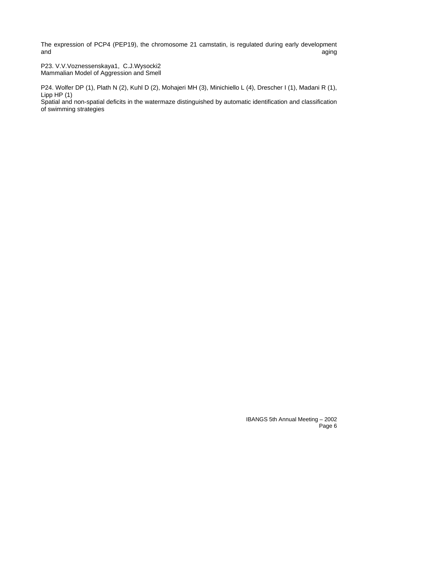The expression of PCP4 (PEP19), the chromosome 21 camstatin, is regulated during early development and and aging the control of the control of the control of the control of the control of the control of the control of the control of the control of the control of the control of the control of the control of the control o

P23. V.V.Voznessenskaya1, C.J.Wysocki2 Mammalian Model of Aggression and Smell

P24. Wolfer DP (1), Plath N (2), Kuhl D (2), Mohajeri MH (3), Minichiello L (4), Drescher I (1), Madani R (1), Lipp HP (1)

Spatial and non-spatial deficits in the watermaze distinguished by automatic identification and classification of swimming strategies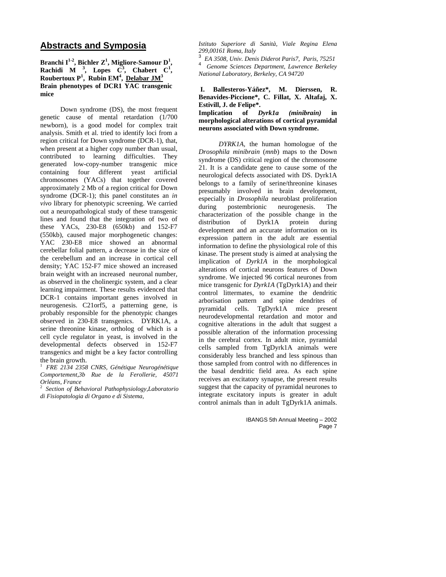## **Abstracts and Symposia**

#### Branchi I<sup>1-2</sup>, Bichler Z<sup>1</sup>, Migliore-Samour D<sup>1</sup>, **Rachidi** M <sup>3</sup>, Lopes  $\overrightarrow{C}$ <sup>3</sup>, Chabert C<sup>1</sup>, **Roubertoux P<sup>1</sup> , Rubin EM4 , Delabar JM<sup>3</sup> Brain phenotypes of DCR1 YAC transgenic mice**

Down syndrome (DS), the most frequent genetic cause of mental retardation (1/700 newborn), is a good model for complex trait analysis. Smith et al. tried to identify loci from a region critical for Down syndrome (DCR-1), that, when present at a higher copy number than usual, contributed to learning difficulties. They generated low-copy-number transgenic mice containing four different yeast artificial chromosomes (YACs) that together covered approximately 2 Mb of a region critical for Down syndrome (DCR-1); this panel constitutes an *in vivo* library for phenotypic screening. We carried out a neuropathological study of these transgenic lines and found that the integration of two of these YACs, 230-E8 (650kb) and 152-F7 (550kb), caused major morphogenetic changes: YAC 230-E8 mice showed an abnormal cerebellar folial pattern, a decrease in the size of the cerebellum and an increase in cortical cell density; YAC 152-F7 mice showed an increased brain weight with an increased neuronal number, as observed in the cholinergic system, and a clear learning impairment. These results evidenced that DCR-1 contains important genes involved in neurogenesis. C21orf5, a patterning gene, is probably responsible for the phenotypic changes observed in 230-E8 transgenics. DYRK1A, a serine threonine kinase, ortholog of which is a cell cycle regulator in yeast, is involved in the developmental defects observed in 152-F7 transgenics and might be a key factor controlling the brain growth.

<sup>1</sup>*FRE 2134 2358 CNRS, Génétique Neurogénétique Comportement,3b Rue de la Ferollerie, 45071 Orléans, France* 

<sup>2</sup>*Section of Behavioral Pathophysiology,Laboratorio di Fisiopatologia di Organo e di Sistema,* 

*Istituto Superiore di Sanità, Viale Regina Elena 299,00161 Roma, Italy* 

3 *EA 3508, Univ. Denis Diderot Paris7, Paris, 75251* <sup>4</sup> *Genome Sciences Department, Lawrence Berkeley National Laboratory, Berkeley, CA 94720*

#### **I. Ballesteros-Yáñez\*, M. Dierssen, R. Benavides-Piccione\*, C. Fillat, X. Altafaj, X. Estivill, J. de Felipe\*.**

**Implication of** *Dyrk1a (minibrain)* **in morphological alterations of cortical pyramidal neurons associated with Down syndrome.** 

*DYRK1A,* the human homologue of the *Drosophila minibrain* (*mnb*) maps to the Down syndrome (DS) critical region of the chromosome 21. It is a candidate gene to cause some of the neurological defects associated with DS. Dyrk1A belongs to a family of serine/threonine kinases presumably involved in brain development, especially in *Drosophila* neuroblast proliferation during postembrionic neurogenesis. The characterization of the possible change in the distribution of Dyrk1A protein during development and an accurate information on its expression pattern in the adult are essential information to define the physiological role of this kinase. The present study is aimed at analysing the implication of *Dyrk1A* in the morphological alterations of cortical neurons features of Down syndrome. We injected 96 cortical neurones from mice transgenic for *Dyrk1A* (TgDyrk1A) and their control littermates, to examine the dendritic arborisation pattern and spine dendrites of pyramidal cells. TgDyrk1A mice present neurodevelopmental retardation and motor and cognitive alterations in the adult that suggest a possible alteration of the information processing in the cerebral cortex. In adult mice, pyramidal cells sampled from TgDyrk1A animals were considerably less branched and less spinous than those sampled from control with no differences in the basal dendritic field area. As each spine receives an excitatory synapse, the present results suggest that the capacity of pyramidal neurones to integrate excitatory inputs is greater in adult control animals than in adult TgDyrk1A animals.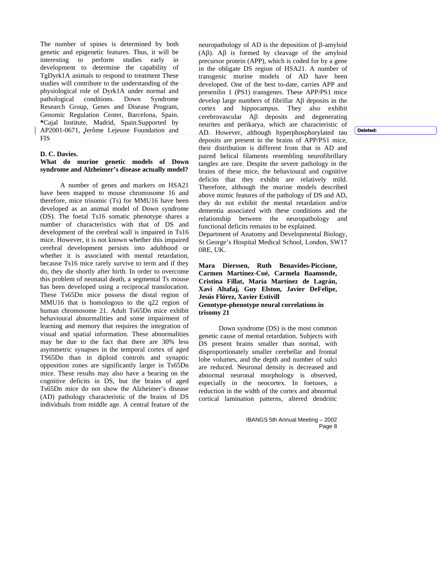The number of spines is determined by both genetic and epigenetic features. Thus, it will be interesting to perform studies early in development to determine the capability of TgDyrk1A animals to respond to treatment These studies will contribute to the understanding of the physiological role of Dyrk1A under normal and pathological conditions. Down Syndrome Research Group, Genes and Disease Program, Genomic Regulation Center, Barcelona, Spain. **\***Cajal Institute, Madrid, Spain.Supported by AP2001-0671, Jerôme Lejeune Foundation and FIS

#### **D. C. Davies.**

#### **What do murine genetic models of Down syndrome and Alzheimer's disease actually model?**

A number of genes and markers on HSA21 have been mapped to mouse chromosome 16 and therefore, mice trisomic (Ts) for MMU16 have been developed as an animal model of Down syndrome (DS). The foetal Ts16 somatic phenotype shares a number of characteristics with that of DS and development of the cerebral wall is impaired in Ts16 mice. However, it is not known whether this impaired cerebral development persists into adulthood or whether it is associated with mental retardation, because Ts16 mice rarely survive to term and if they do, they die shortly after birth. In order to overcome this problem of neonatal death, a segmental Ts mouse has been developed using a reciprocal translocation. These Ts65Dn mice possess the distal region of MMU16 that is homologous to the q22 region of human chromosome 21. Adult Ts65Dn mice exhibit behavioural abnormalities and some impairment of learning and memory that requires the integration of visual and spatial information. These abnormalities may be due to the fact that there are 30% less asymmetric synapses in the temporal cortex of aged TS65Dn than in diploid controls and synaptic opposition zones are significantly larger in Ts65Dn mice. These results may also have a bearing on the cognitive deficits in DS, but the brains of aged Ts65Dn mice do not show the Alzheimer's disease (AD) pathology characteristic of the brains of DS individuals from middle age. A central feature of the

neuropathology of AD is the deposition of β-amyloid (Aβ). Aβ is formed by cleavage of the amyloid precursor protein (APP), which is coded for by a gene in the obligate DS region of HSA21. A number of transgenic murine models of AD have been developed. One of the best to-date, carries APP and presenilin 1 (PS1) transgenes. These APP/PS1 mice develop large numbers of fibrillar Aβ deposits in the cortex and hippocampus. They also exhibit cerebrovascular Aβ deposits and degenerating neurites and perikarya, which are characteristic of AD. However, although hyperphosphorylated tau deposits are present in the brains of APP/PS1 mice, their distribution is different from that in AD and paired helical filaments resembling neurofibrillary tangles are rare. Despite the severe pathology in the brains of these mice, the behavioural and cognitive deficits that they exhibit are relatively mild. Therefore, although the murine models described above mimic features of the pathology of DS and AD, they do not exhibit the mental retardation and/or dementia associated with these conditions and the relationship between the neuropathology and functional deficits remains to be explained.

Department of Anatomy and Developmental Biology, St George's Hospital Medical School, London, SW17 0RE, UK.

**Mara Dierssen, Ruth Benavides-Piccione, Carmen Martínez-Cué, Carmela Baamonde, Cristina Fillat, María Martínez de Lagrán, Xavi Altafaj, Guy Elston, Javier DeFelipe, Jesús Flórez, Xavier Estivill Genotype-phenotype neural correlations in trisomy 21** 

Down syndrome (DS) is the most common genetic cause of mental retardation. Subjects with DS present brains smaller than normal, with disproportionately smaller cerebellar and frontal lobe volumes, and the depth and number of sulci are reduced. Neuronal density is decreased and abnormal neuronal morphology is observed, especially in the neocortex. In foetuses, a reduction in the width of the cortex and abnormal cortical lamination patterns, altered dendritic

> IBANGS 5th Annual Meeting – 2002 Page 8

**Deleted:**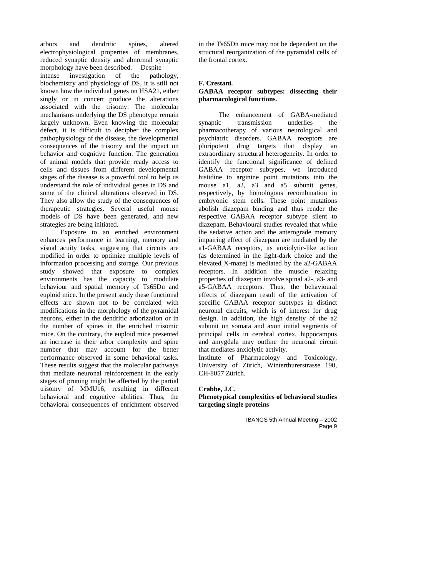arbors and dendritic spines, altered electrophysiological properties of membranes, reduced synaptic density and abnormal synaptic morphology have been described. Despite intense investigation of the pathology, biochemistry and physiology of DS, it is still not known how the individual genes on HSA21, either singly or in concert produce the alterations associated with the trisomy. The molecular mechanisms underlying the DS phenotype remain largely unknown. Even knowing the molecular defect, it is difficult to decipher the complex pathophysiology of the disease, the developmental consequences of the trisomy and the impact on behavior and cognitive function. The generation of animal models that provide ready access to cells and tissues from different developmental stages of the disease is a powerful tool to help us understand the role of individual genes in DS and some of the clinical alterations observed in DS. They also allow the study of the consequences of therapeutic strategies. Several useful mouse models of DS have been generated, and new strategies are being initiated.

Exposure to an enriched environment enhances performance in learning, memory and visual acuity tasks, suggesting that circuits are modified in order to optimize multiple levels of information processing and storage. Our previous study showed that exposure to complex environments has the capacity to modulate behaviour and spatial memory of Ts65Dn and euploid mice. In the present study these functional effects are shown not to be correlated with modifications in the morphology of the pyramidal neurons, either in the dendritic arborization or in the number of spines in the enriched trisomic mice. On the contrary, the euploid mice presented an increase in their arbor complexity and spine number that may account for the better performance observed in some behavioral tasks. These results suggest that the molecular pathways that mediate neuronal reinforcement in the early stages of pruning might be affected by the partial trisomy of MMU16, resulting in different behavioral and cognitive abilities. Thus, the behavioral consequences of enrichment observed

in the Ts65Dn mice may not be dependent on the structural reorganization of the pyramidal cells of the frontal cortex.

#### **F. Crestani.**

#### **GABAA receptor subtypes: dissecting their pharmacological functions**.

The enhancement of GABA-mediated synaptic transmission underlies the pharmacotherapy of various neurological and psychiatric disorders. GABAA receptors are pluripotent drug targets that display an extraordinary structural heterogeneity. In order to identify the functional significance of defined GABAA receptor subtypes, we introduced histidine to arginine point mutations into the mouse a1, a2, a3 and a5 subunit genes, respectively, by homologous recombination in embryonic stem cells. These point mutations abolish diazepam binding and thus render the respective GABAA receptor subtype silent to diazepam. Behavioural studies revealed that while the sedative action and the anterograde memory impairing effect of diazepam are mediated by the a1-GABAA receptors, its anxiolytic-like action (as determined in the light-dark choice and the elevated X-maze) is mediated by the a2-GABAA receptors. In addition the muscle relaxing properties of diazepam involve spinal a2-, a3- and a5-GABAA receptors. Thus, the behavioural effects of diazepam result of the activation of specific GABAA receptor subtypes in distinct neuronal circuits, which is of interest for drug design. In addition, the high density of the a2 subunit on somata and axon initial segments of principal cells in cerebral cortex, hippocampus and amygdala may outline the neuronal circuit that mediates anxiolytic activity.

Institute of Pharmacology and Toxicology, University of Zürich, Winterthurerstrasse 190, CH-8057 Zürich.

#### **Crabbe, J.C.**

**Phenotypical complexities of behavioral studies targeting single proteins**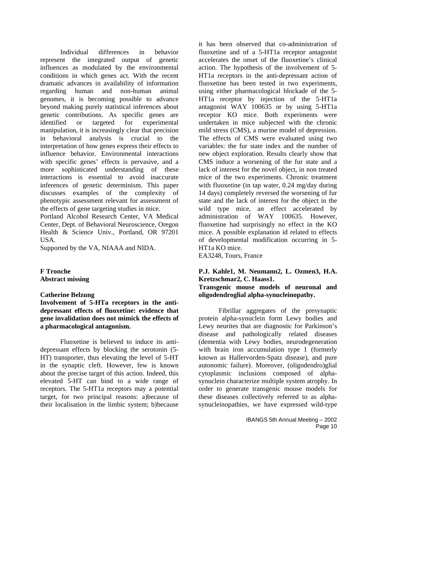Individual differences in behavior represent the integrated output of genetic influences as modulated by the environmental conditions in which genes act. With the recent dramatic advances in availability of information regarding human and non-human animal genomes, it is becoming possible to advance beyond making purely statistical inferences about genetic contributions. As specific genes are identified or targeted for experimental manipulation, it is increasingly clear that precision in behavioral analysis is crucial to the interpretation of how genes express their effects to influence behavior. Environmental interactions with specific genes' effects is pervasive, and a more sophisticated understanding of these interactions is essential to avoid inaccurate inferences of genetic determinism. This paper discusses examples of the complexity of phenotypic assessment relevant for assessment of the effects of gene targeting studies in mice.

Portland Alcohol Research Center, VA Medical Center, Dept. of Behavioral Neuroscience, Oregon Health & Science Univ., Portland, OR 97201 USA.

Supported by the VA, NIAAA and NIDA.

#### **F Tronche Abstract missing**

#### **Catherine Belzung**

**Involvement of 5-HTa receptors in the antidepressant effects of fluoxetine: evidence that gene invalidation does not mimick the effects of a pharmacological antagonism.** 

Fluoxetine is believed to induce its antidepressant effects by blocking the serotonin (5- HT) transporter, thus elevating the level of 5-HT in the synaptic cleft. However, few is known about the precise target of this action. Indeed, this elevated 5-HT can bind to a wide range of receptors. The 5-HT1a receptors may a potential target, for two principal reasons: a)because of their localisation in the limbic system; b)because

it has been observed that co-administration of fluoxetine and of a 5-HT1a receptor antagonist accelerates the onset of the fluoxetine's clinical action. The hypothesis of the involvement of 5- HT1a receptors in the anti-depressant action of fluoxetine has been tested in two experiments, using either pharmacological blockade of the 5- HT1a receptor by injection of the 5-HT1a antagonist WAY 100635 or by using 5-HT1a receptor KO mice. Both experiments were undertaken in mice subjected with the chronic mild stress (CMS), a murine model of depression. The effects of CMS were evaluated using two variables: the fur state index and the number of new object exploration. Results clearly show that CMS induce a worsening of the fur state and a lack of interest for the novel object, in non treated mice of the two experiments. Chronic treatment with fluoxetine (in tap water, 0.24 mg/day during 14 days) completely reversed the worsening of fur state and the lack of interest for the object in the wild type mice, an effect accelerated by administration of WAY 100635. However, fluoxetine had surprisingly no effect in the KO mice. A possible explanation id related to effects of developmental modification occurring in 5- HT1a KO mice.

EA3248, Tours, France

### **P.J. Kahle1, M. Neumann2, L. Ozmen3, H.A. Kretzschmar2, C. Haass1.**

#### **Transgenic mouse models of neuronal and oligodendroglial alpha-synucleinopathy.**

Fibrillar aggregates of the presynaptic protein alpha-synuclein form Lewy bodies and Lewy neurites that are diagnostic for Parkinson's disease and pathologically related diseases (dementia with Lewy bodies, neurodegeneration with brain iron accumulation type 1 (formerly known as Hallervorden-Spatz disease), and pure autonomic failure). Moreover, (oligodendro)glial cytoplasmic inclusions composed of alphasynuclein characterize multiple system atrophy. In order to generate transgenic mouse models for these diseases collectively referred to as alphasynucleinopathies, we have expressed wild-type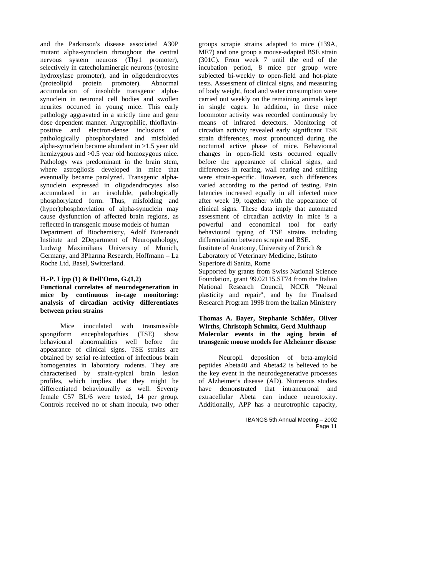and the Parkinson's disease associated A30P mutant alpha-synuclein throughout the central nervous system neurons (Thy1 promoter), selectively in catecholaminergic neurons (tyrosine hydroxylase promoter), and in oligodendrocytes (proteolipid protein promoter). Abnormal accumulation of insoluble transgenic alphasynuclein in neuronal cell bodies and swollen neurites occurred in young mice. This early pathology aggravated in a strictly time and gene dose dependent manner. Argyrophilic, thioflavinpositive and electron-dense inclusions of pathologically phosphorylated and misfolded alpha-synuclein became abundant in >1.5 year old hemizygous and >0.5 year old homozygous mice. Pathology was predominant in the brain stem, where astrogliosis developed in mice that eventually became paralyzed. Transgenic alphasynuclein expressed in oligodendrocytes also accumulated in an insoluble, pathologically phosphorylated form. Thus, misfolding and (hyper)phosphorylation of alpha-synuclein may cause dysfunction of affected brain regions, as reflected in transgenic mouse models of human Department of Biochemistry, Adolf Butenandt Institute and 2Department of Neuropathology,

Ludwig Maximilians University of Munich, Germany, and 3Pharma Research, Hoffmann – La Roche Ltd, Basel, Switzerland.

#### **H.-P. Lipp (1) & Dell'Omo, G.(1,2)**

**Functional correlates of neurodegeneration in mice by continuous in-cage monitoring: analysis of circadian activity differentiates between prion strains** 

Mice inoculated with transmissible spongiform encephalopathies (TSE) show behavioural abnormalities well before the appearance of clinical signs. TSE strains are obtained by serial re-infection of infectious brain homogenates in laboratory rodents. They are characterised by strain-typical brain lesion profiles, which implies that they might be differentiated behaviourally as well. Seventy female C57 BL/6 were tested, 14 per group. Controls received no or sham inocula, two other

groups scrapie strains adapted to mice (139A, ME7) and one group a mouse-adapted BSE strain (301C). From week 7 until the end of the incubation period, 8 mice per group were subjected bi-weekly to open-field and hot-plate tests. Assessment of clinical signs, and measuring of body weight, food and water consumption were carried out weekly on the remaining animals kept in single cages. In addition, in these mice locomotor activity was recorded continuously by means of infrared detectors. Monitoring of circadian activity revealed early significant TSE strain differences, most pronounced during the nocturnal active phase of mice. Behavioural changes in open-field tests occurred equally before the appearance of clinical signs, and differences in rearing, wall rearing and sniffing were strain-specific. However, such differences varied according to the period of testing. Pain latencies increased equally in all infected mice after week 19, together with the appearance of clinical signs. These data imply that automated assessment of circadian activity in mice is a powerful and economical tool for early behavioural typing of TSE strains including differentiation between scrapie and BSE. Institute of Anatomy, University of Zürich & Laboratory of Veterinary Medicine, Istituto

Superiore di Sanita, Rome

Supported by grants from Swiss National Science Foundation, grant 99.02115.ST74 from the Italian National Research Council, NCCR "Neural plasticity and repair", and by the Finalised Research Program 1998 from the Italian Ministery

#### **Thomas A. Bayer, Stephanie Schäfer, Oliver Wirths, Christoph Schmitz, Gerd Multhaup Molecular events in the aging brain of transgenic mouse models for Alzheimer disease**

Neuropil deposition of beta-amyloid peptides Abeta40 and Abeta42 is believed to be the key event in the neurodegenerative processes of Alzheimer's disease (AD). Numerous studies have demonstrated that intraneuronal and extracellular Abeta can induce neurotoxity. Additionally, APP has a neurotrophic capacity,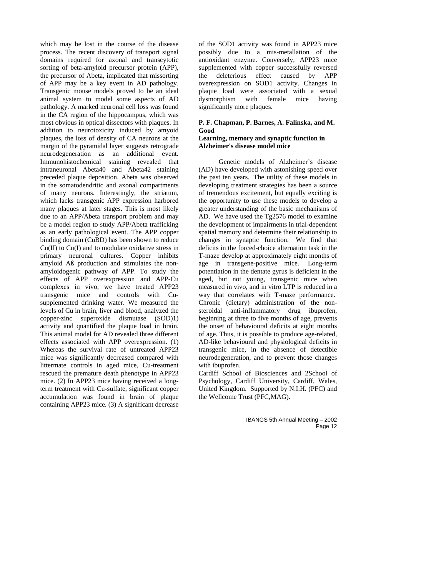which may be lost in the course of the disease process. The recent discovery of transport signal domains required for axonal and transcytotic sorting of beta-amyloid precursor protein (APP), the precursor of Abeta, implicated that missorting of APP may be a key event in AD pathology. Transgenic mouse models proved to be an ideal animal system to model some aspects of AD pathology. A marked neuronal cell loss was found in the CA region of the hippocampus, which was most obvious in optical dissectors with plaques. In addition to neurotoxicity induced by amyoid plaques, the loss of density of CA neurons at the margin of the pyramidal layer suggests retrograde neurodegeneration as an additional event. Immunohistochemical staining revealed that intraneuronal Abeta40 and Abeta42 staining preceded plaque deposition. Abeta was observed in the somatodendritic and axonal compartments of many neurons. Interestingly, the striatum, which lacks transgenic APP expression harbored many plaques at later stages. This is most likely due to an APP/Abeta transport problem and may be a model region to study APP/Abeta trafficking as an early pathological event. The APP copper binding domain (CuBD) has been shown to reduce Cu(II) to Cu(I) and to modulate oxidative stress in primary neuronal cultures. Copper inhibits amyloid Aß production and stimulates the nonamyloidogenic pathway of APP. To study the effects of APP overexpression and APP-Cu complexes in vivo, we have treated APP23 transgenic mice and controls with Cusupplemented drinking water. We measured the levels of Cu in brain, liver and blood, analyzed the copper-zinc superoxide dismutase (SOD)1) activity and quantified the plaque load in brain. This animal model for AD revealed three different effects associated with APP overexpression. (1) Whereas the survival rate of untreated APP23 mice was significantly decreased compared with littermate controls in aged mice, Cu-treatment rescued the premature death phenotype in APP23 mice. (2) In APP23 mice having received a longterm treatment with Cu-sulfate, significant copper accumulation was found in brain of plaque containing APP23 mice. (3) A significant decrease

of the SOD1 activity was found in APP23 mice possibly due to a mis-metallation of the antioxidant enzyme. Conversely, APP23 mice supplemented with copper successfully reversed the deleterious effect caused by APP overexpression on SOD1 activity. Changes in plaque load were associated with a sexual dysmorphism with female mice having significantly more plaques.

#### **P. F. Chapman, P. Barnes, A. Falinska, and M. Good Learning, memory and synaptic function in**

## **Alzheimer's disease model mice**

Genetic models of Alzheimer's disease (AD) have developed with astonishing speed over the past ten years. The utility of these models in developing treatment strategies has been a source of tremendous excitement, but equally exciting is the opportunity to use these models to develop a greater understanding of the basic mechanisms of AD. We have used the Tg2576 model to examine the development of impairments in trial-dependent spatial memory and determine their relationship to changes in synaptic function. We find that deficits in the forced-choice alternation task in the T-maze develop at approximately eight months of age in transgene-positive mice. Long-term potentiation in the dentate gyrus is deficient in the aged, but not young, transgenic mice when measured in vivo, and in vitro LTP is reduced in a way that correlates with T-maze performance. Chronic (dietary) administration of the nonsteroidal anti-inflammatory drug ibuprofen, beginning at three to five months of age, prevents the onset of behavioural deficits at eight months of age. Thus, it is possible to produce age-related, AD-like behavioural and physiological deficits in transgenic mice, in the absence of detectible neurodegeneration, and to prevent those changes with ibuprofen.

Cardiff School of Biosciences and 2School of Psychology, Cardiff University, Cardiff, Wales, United Kingdom. Supported by N.I.H. (PFC) and the Wellcome Trust (PFC,MAG).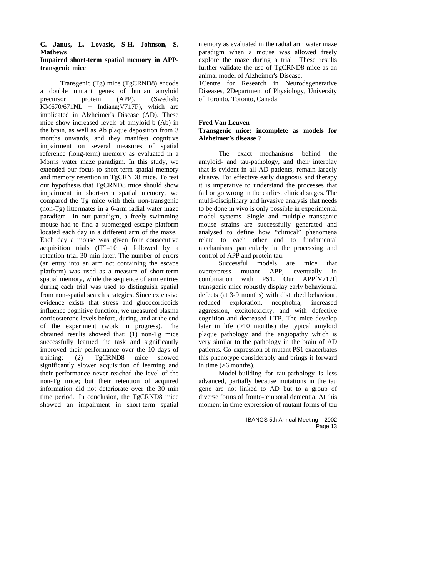### **C. Janus, L. Lovasic, S-H. Johnson, S. Mathews**

#### **Impaired short-term spatial memory in APPtransgenic mice**

Transgenic (Tg) mice (TgCRND8) encode a double mutant genes of human amyloid<br>precursor protein (APP), (Swedish: precursor protein (APP), (Swedish; KM670/671NL + Indiana;V717F), which are implicated in Alzheimer's Disease (AD). These mice show increased levels of amyloid-b (Ab) in the brain, as well as Ab plaque deposition from 3 months onwards, and they manifest cognitive impairment on several measures of spatial reference (long-term) memory as evaluated in a Morris water maze paradigm. In this study, we extended our focus to short-term spatial memory and memory retention in TgCRND8 mice. To test our hypothesis that TgCRND8 mice should show impairment in short-term spatial memory, we compared the Tg mice with their non-transgenic (non-Tg) littermates in a 6-arm radial water maze paradigm. In our paradigm, a freely swimming mouse had to find a submerged escape platform located each day in a different arm of the maze. Each day a mouse was given four consecutive acquisition trials (ITI=10 s) followed by a retention trial 30 min later. The number of errors (an entry into an arm not containing the escape platform) was used as a measure of short-term spatial memory, while the sequence of arm entries during each trial was used to distinguish spatial from non-spatial search strategies. Since extensive evidence exists that stress and glucocorticoids influence cognitive function, we measured plasma corticosterone levels before, during, and at the end of the experiment (work in progress). The obtained results showed that: (1) non-Tg mice successfully learned the task and significantly improved their performance over the 10 days of training; (2) TgCRND8 mice showed significantly slower acquisition of learning and their performance never reached the level of the non-Tg mice; but their retention of acquired information did not deteriorate over the 30 min time period. In conclusion, the TgCRND8 mice showed an impairment in short-term spatial

memory as evaluated in the radial arm water maze paradigm when a mouse was allowed freely explore the maze during a trial. These results further validate the use of TgCRND8 mice as an animal model of Alzheimer's Disease.

1Centre for Research in Neurodegenerative Diseases, 2Department of Physiology, University of Toronto, Toronto, Canada.

#### **Fred Van Leuven**

#### **Transgenic mice: incomplete as models for Alzheimer's disease ?**

The exact mechanisms behind the amyloid- and tau-pathology, and their interplay that is evident in all AD patients, remain largely elusive. For effective early diagnosis and therapy it is imperative to understand the processes that fail or go wrong in the earliest clinical stages. The multi-disciplinary and invasive analysis that needs to be done in vivo is only possible in experimental model systems. Single and multiple transgenic mouse strains are successfully generated and analysed to define how "clinical" phenomena relate to each other and to fundamental mechanisms particularly in the processing and control of APP and protein tau.

Successful models are mice that overexpress mutant APP, eventually in combination with PS1. Our APP[V717I] transgenic mice robustly display early behavioural defects (at 3-9 months) with disturbed behaviour, reduced exploration, neophobia, increased aggression, excitotoxicity, and with defective cognition and decreased LTP. The mice develop later in life (>10 months) the typical amyloid plaque pathology and the angiopathy which is very similar to the pathology in the brain of AD patients. Co-expression of mutant PS1 exacerbates this phenotype considerably and brings it forward in time (>6 months).

Model-building for tau-pathology is less advanced, partially because mutations in the tau gene are not linked to AD but to a group of diverse forms of fronto-temporal dementia. At this moment in time expression of mutant forms of tau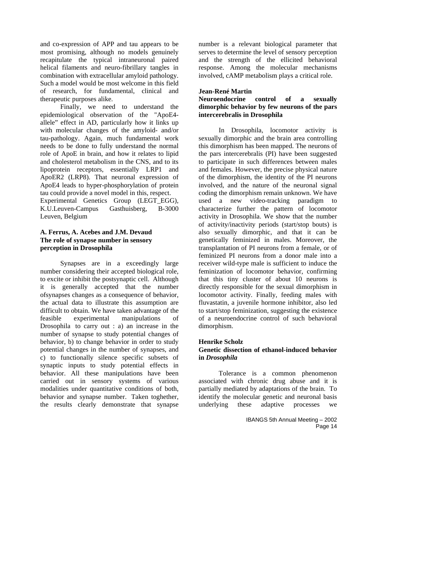and co-expression of APP and tau appears to be most promising, although no models genuinely recapitulate the typical intraneuronal paired helical filaments and neuro-fibrillary tangles in combination with extracellular amyloid pathology. Such a model would be most welcome in this field of research, for fundamental, clinical and therapeutic purposes alike.

Finally, we need to understand the epidemiological observation of the "ApoE4 allele" effect in AD, particularly how it links up with molecular changes of the amyloid- and/or tau-pathology. Again, much fundamental work needs to be done to fully understand the normal role of ApoE in brain, and how it relates to lipid and cholesterol metabolism in the CNS, and to its lipoprotein receptors, essentially LRP1 and ApoER2 (LRP8). That neuronal expression of ApoE4 leads to hyper-phosphorylation of protein tau could provide a novel model in this, respect. Experimental Genetics Group (LEGT\_EGG),<br>K.U.Leuven-Campus Gasthuisberg, B-3000 K.U.Leuven-Campus Leuven, Belgium

#### **A. Ferrus, A. Acebes and J.M. Devaud The role of synapse number in sensory perception in Drosophila**

Synapses are in a exceedingly large number considering their accepted biological role, to excite or inhibit the postsynaptic cell. Although it is generally accepted that the number ofsynapses changes as a consequence of behavior, the actual data to illustrate this assumption are difficult to obtain. We have taken advantage of the feasible experimental manipulations of Drosophila to carry out : a) an increase in the number of synapse to study potential changes of behavior, b) to change behavior in order to study potential changes in the number of synapses, and c) to functionally silence specific subsets of synaptic inputs to study potential effects in behavior. All these manipulations have been carried out in sensory systems of various modalities under quantitative conditions of both, behavior and synapse number. Taken toghether, the results clearly demonstrate that synapse

number is a relevant biological parameter that serves to determine the level of sensory perception and the strength of the ellicited behavioral response. Among the molecular mechanisms involved, cAMP metabolism plays a critical role.

#### **Jean-René Martin**

#### **Neuroendocrine control of a sexually dimorphic behavior by few neurons of the pars intercerebralis in Drosophila**

In Drosophila, locomotor activity is sexually dimorphic and the brain area controlling this dimorphism has been mapped. The neurons of the pars intercerebralis (PI) have been suggested to participate in such differences between males and females. However, the precise physical nature of the dimorphism, the identity of the PI neurons involved, and the nature of the neuronal signal coding the dimorphism remain unknown. We have used a new video-tracking paradigm to characterize further the pattern of locomotor activity in Drosophila. We show that the number of activity/inactivity periods (start/stop bouts) is also sexually dimorphic, and that it can be genetically feminized in males. Moreover, the transplantation of PI neurons from a female, or of feminized PI neurons from a donor male into a receiver wild-type male is sufficient to induce the feminization of locomotor behavior, confirming that this tiny cluster of about 10 neurons is directly responsible for the sexual dimorphism in locomotor activity. Finally, feeding males with fluvastatin, a juvenile hormone inhibitor, also led to start/stop feminization, suggesting the existence of a neuroendocrine control of such behavioral dimorphism.

#### **Henrike Scholz Genetic dissection of ethanol-induced behavior in** *Drosophila*

Tolerance is a common phenomenon associated with chronic drug abuse and it is partially mediated by adaptations of the brain. To identify the molecular genetic and neuronal basis underlying these adaptive processes we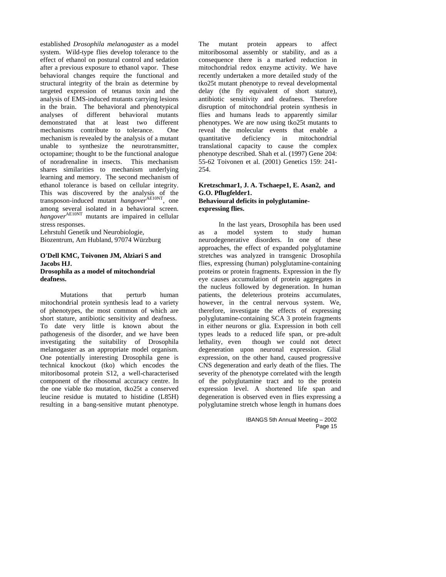established *Drosophila melanogaster* as a model system. Wild-type flies develop tolerance to the effect of ethanol on postural control and sedation after a previous exposure to ethanol vapor. These behavioral changes require the functional and structural integrity of the brain as determine by targeted expression of tetanus toxin and the analysis of EMS-induced mutants carrying lesions in the brain. The behavioral and phenotypical analyses of different behavioral mutants demonstrated that at least two different mechanisms contribute to tolerance. One mechanism is revealed by the analysis of a mutant unable to synthesize the neurotransmitter, octopamine; thought to be the functional analogue of noradrenaline in insects. This mechanism shares similarities to mechanism underlying learning and memory. The second mechanism of ethanol tolerance is based on cellular integrity. This was discovered by the analysis of the transposon-induced mutant *hangover*<sup>AE10NT</sup>, one among several isolated in a behavioral screen. *hangover*AE10NT mutants are impaired in cellular stress responses.

Lehrstuhl Genetik und Neurobiologie, Biozentrum, Am Hubland, 97074 Würzburg

#### **O'Dell KMC, Toivonen JM, Alziari S and Jacobs HJ. Drosophila as a model of mitochondrial deafness.**

Mutations that perturb human mitochondrial protein synthesis lead to a variety of phenotypes, the most common of which are short stature, antibiotic sensitivity and deafness. To date very little is known about the pathogenesis of the disorder, and we have been investigating the suitability of Drosophila melanogaster as an appropriate model organism. One potentially interesting Drosophila gene is technical knockout (tko) which encodes the mitoribosomal protein S12, a well-characterised component of the ribosomal accuracy centre. In the one viable tko mutation, tko25t a conserved leucine residue is mutated to histidine (L85H) resulting in a bang-sensitive mutant phenotype.

The mutant protein appears to affect mitoribosomal assembly or stability, and as a consequence there is a marked reduction in mitochondrial redox enzyme activity. We have recently undertaken a more detailed study of the tko25t mutant phenotype to reveal developmental delay (the fly equivalent of short stature), antibiotic sensitivity and deafness. Therefore disruption of mitochondrial protein synthesis in flies and humans leads to apparently similar phenotypes. We are now using tko25t mutants to reveal the molecular events that enable a quantitative deficiency in mitochondrial translational capacity to cause the complex phenotype described. Shah et al. (1997) Gene 204: 55-62 Toivonen et al. (2001) Genetics 159: 241- 254.

#### **Kretzschmar1, J. A. Tschaepe1, E. Asan2, and G.O. Pflugfelder1. Behavioural deficits in polyglutamineexpressing flies.**

In the last years, Drosophila has been used as a model system to study human neurodegenerative disorders. In one of these approaches, the effect of expanded polyglutamine stretches was analyzed in transgenic Drosophila flies*,* expressing (human) polyglutamine-containing proteins or protein fragments. Expression in the fly eye causes accumulation of protein aggregates in the nucleus followed by degeneration. In human patients, the deleterious proteins accumulates, however, in the central nervous system. We, therefore, investigate the effects of expressing polyglutamine-containing SCA 3 protein fragments in either neurons or glia. Expression in both cell types leads to a reduced life span, or pre-adult lethality, even though we could not detect degeneration upon neuronal expression. Glial expression, on the other hand, caused progressive CNS degeneration and early death of the flies. The severity of the phenotype correlated with the length of the polyglutamine tract and to the protein expression level. A shortened life span and degeneration is observed even in flies expressing a polyglutamine stretch whose length in humans does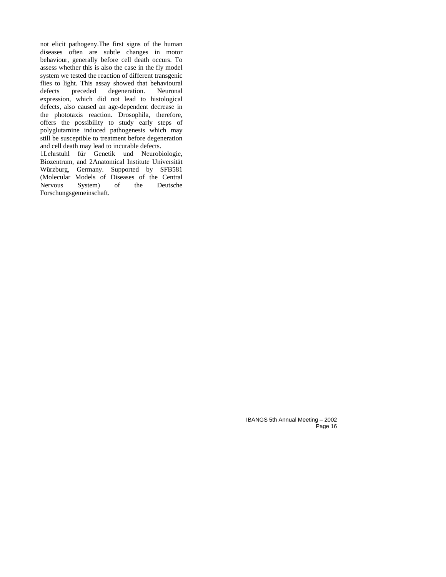not elicit pathogeny.The first signs of the human diseases often are subtle changes in motor behaviour, generally before cell death occurs. To assess whether this is also the case in the fly model system we tested the reaction of different transgenic flies to light. This assay showed that behavioural defects preceded degeneration. Neuronal expression, which did not lead to histological defects, also caused an age-dependent decrease in the phototaxis reaction. Drosophila, therefore, offers the possibility to study early steps of polyglutamine induced pathogenesis which may still be susceptible to treatment before degeneration and cell death may lead to incurable defects.

1Lehrstuhl für Genetik und Neurobiologie, Biozentrum, and 2Anatomical Institute Universität Würzburg, Germany. Supported by SFB581 (Molecular Models of Diseases of the Central System) Forschungsgemeinschaft.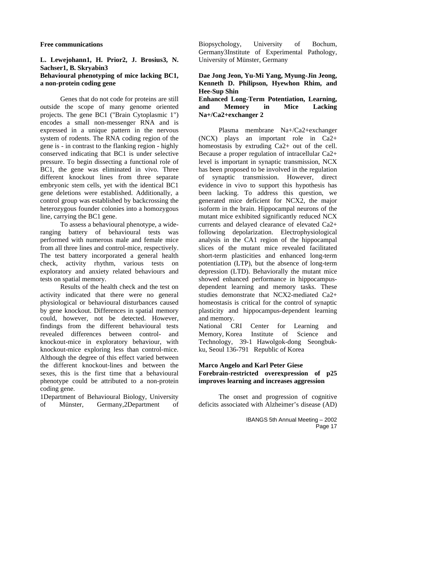#### **Free communications**

#### **L. Lewejohann1, H. Prior2, J. Brosius3, N. Sachser1, B. Skryabin3 Behavioural phenotyping of mice lacking BC1, a non-protein coding gene**

Genes that do not code for proteins are still outside the scope of many genome oriented projects. The gene BC1 ("Brain Cytoplasmic 1") encodes a small non-messenger RNA and is expressed in a unique pattern in the nervous system of rodents. The RNA coding region of the gene is - in contrast to the flanking region - highly conserved indicating that BC1 is under selective pressure. To begin dissecting a functional role of BC1, the gene was eliminated in vivo. Three different knockout lines from three separate embryonic stem cells, yet with the identical BC1 gene deletions were established. Additionally, a control group was established by backcrossing the heterozygous founder colonies into a homozygous line, carrying the BC1 gene.

To assess a behavioural phenotype, a wideranging battery of behavioural tests was performed with numerous male and female mice from all three lines and control-mice, respectively. The test battery incorporated a general health check, activity rhythm, various tests on exploratory and anxiety related behaviours and tests on spatial memory.

Results of the health check and the test on activity indicated that there were no general physiological or behavioural disturbances caused by gene knockout. Differences in spatial memory could, however, not be detected. However, findings from the different behavioural tests revealed differences between control- and knockout-mice in exploratory behaviour, with knockout-mice exploring less than control-mice. Although the degree of this effect varied between the different knockout-lines and between the sexes, this is the first time that a behavioural phenotype could be attributed to a non-protein coding gene.

1Department of Behavioural Biology, University of Münster, Germany,2Department of Biopsychology, University of Bochum, Germany3Institute of Experimental Pathology, University of Münster, Germany

#### **Dae Jong Jeon, Yu-Mi Yang, Myung-Jin Jeong, Kenneth D. Philipson, Hyewhon Rhim, and Hee-Sup Shin**

#### **Enhanced Long-Term Potentiation, Learning, and Memory in Mice Lacking Na+/Ca2+exchanger 2**

Plasma membrane Na+/Ca2+exchanger (NCX) plays an important role in Ca2+ homeostasis by extruding Ca2+ out of the cell. Because a proper regulation of intracellular Ca2+ level is important in synaptic transmission, NCX has been proposed to be involved in the regulation of synaptic transmission. However, direct evidence in vivo to support this hypothesis has been lacking. To address this question, we generated mice deficient for NCX2, the major isoform in the brain. Hippocampal neurons of the mutant mice exhibited significantly reduced NCX currents and delayed clearance of elevated Ca2+ following depolarization. Electrophysiological analysis in the CA1 region of the hippocampal slices of the mutant mice revealed facilitated short-term plasticities and enhanced long-term potentiation (LTP), but the absence of long-term depression (LTD). Behaviorally the mutant mice showed enhanced performance in hippocampusdependent learning and memory tasks. These studies demonstrate that NCX2-mediated Ca2+ homeostasis is critical for the control of synaptic plasticity and hippocampus-dependent learning and memory.

National CRI Center for Learning and Memory, Korea Institute of Science and Technology, 39-1 Hawolgok-dong Seongbukku, Seoul 136-791 Republic of Korea

#### **Marco Angelo and Karl Peter Giese Forebrain-restricted overexpression of p25 improves learning and increases aggression**

The onset and progression of cognitive deficits associated with Alzheimer's disease (AD)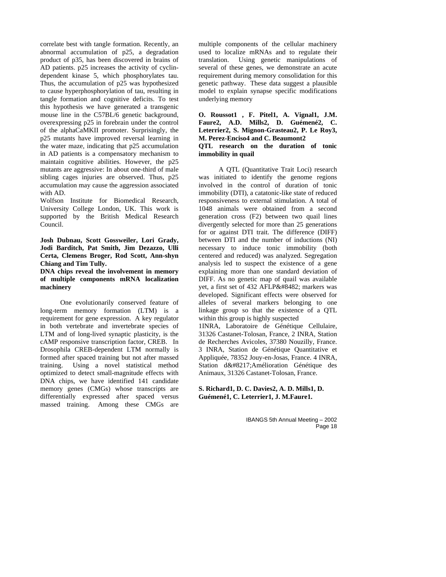correlate best with tangle formation. Recently, an abnormal accumulation of p25, a degradation product of p35, has been discovered in brains of AD patients. p25 increases the activity of cyclindependent kinase 5, which phosphorylates tau. Thus, the accumulation of p25 was hypothesized to cause hyperphosphorylation of tau, resulting in tangle formation and cognitive deficits. To test this hypothesis we have generated a transgenic mouse line in the C57BL/6 genetic background, overexpressing p25 in forebrain under the control of the alphaCaMKII promoter. Surprisingly, the p25 mutants have improved reversal learning in the water maze, indicating that p25 accumulation in AD patients is a compensatory mechanism to maintain cognitive abilities. However, the p25 mutants are aggressive: In about one-third of male sibling cages injuries are observed. Thus, p25 accumulation may cause the aggression associated with AD.

Wolfson Institute for Biomedical Research, University College London, UK. This work is supported by the British Medical Research Council.

**Josh Dubnau, Scott Gossweiler, Lori Grady, Jodi Barditch, Pat Smith, Jim Dezazzo, Ulli Certa, Clemens Broger, Rod Scott, Ann-shyn Chiang and Tim Tully.**

**DNA chips reveal the involvement in memory of multiple components mRNA localization machinery** 

One evolutionarily conserved feature of long-term memory formation (LTM) is a requirement for gene expression. A key regulator in both vertebrate and invertebrate species of LTM and of long-lived synaptic plasticity, is the cAMP responsive transcription factor, CREB. In Drosophila CREB-dependent LTM normally is formed after spaced training but not after massed training. Using a novel statistical method optimized to detect small-magnitude effects with DNA chips, we have identified 141 candidate memory genes (CMGs) whose transcripts are differentially expressed after spaced versus massed training. Among these CMGs are

multiple components of the cellular machinery used to localize mRNAs and to regulate their translation. Using genetic manipulations of several of these genes, we demonstrate an acute requirement during memory consolidation for this genetic pathway. These data suggest a plausible model to explain synapse specific modifications underlying memory

#### **O. Roussot1 , F. Pitel1, A. Vignal1, J.M. Faure2, A.D. Mills2, D. Guémené2, C. Leterrier2, S. Mignon-Grasteau2, P. Le Roy3, M. Perez-Enciso4 and C. Beaumont2 QTL research on the duration of tonic immobility in quail**

A QTL (Quantitative Trait Loci) research was initiated to identify the genome regions involved in the control of duration of tonic immobility (DTI), a catatonic-like state of reduced responsiveness to external stimulation. A total of 1048 animals were obtained from a second generation cross (F2) between two quail lines divergently selected for more than 25 generations for or against DTI trait. The difference (DIFF) between DTI and the number of inductions (NI) necessary to induce tonic immobility (both centered and reduced) was analyzed. Segregation analysis led to suspect the existence of a gene explaining more than one standard deviation of DIFF. As no genetic map of quail was available yet, a first set of 432 AFLP™ markers was developed. Significant effects were observed for alleles of several markers belonging to one linkage group so that the existence of a QTL within this group is highly suspected

1INRA, Laboratoire de Génétique Cellulaire, 31326 Castanet-Tolosan, France, 2 INRA, Station de Recherches Avicoles, 37380 Nouzilly, France. 3 INRA, Station de Génétique Quantitative et Appliquée, 78352 Jouy-en-Josas, France. 4 INRA, Station d'Amélioration Génétique des Animaux, 31326 Castanet-Tolosan, France.

**S. Richard1, D. C. Davies2, A. D. Mills1, D. Guémené1, C. Leterrier1, J. M.Faure1.**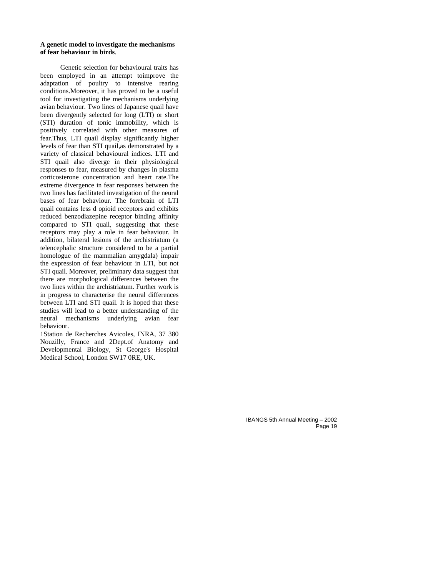#### **A genetic model to investigate the mechanisms of fear behaviour in birds**.

Genetic selection for behavioural traits has been employed in an attempt toimprove the adaptation of poultry to intensive rearing conditions.Moreover, it has proved to be a useful tool for investigating the mechanisms underlying avian behaviour. Two lines of Japanese quail have been divergently selected for long (LTI) or short (STI) duration of tonic immobility, which is positively correlated with other measures of fear.Thus, LTI quail display significantly higher levels of fear than STI quail,as demonstrated by a variety of classical behavioural indices. LTI and STI quail also diverge in their physiological responses to fear, measured by changes in plasma corticosterone concentration and heart rate.The extreme divergence in fear responses between the two lines has facilitated investigation of the neural bases of fear behaviour. The forebrain of LTI quail contains less d opioid receptors and exhibits reduced benzodiazepine receptor binding affinity compared to STI quail, suggesting that these receptors may play a role in fear behaviour. In addition, bilateral lesions of the archistriatum (a telencephalic structure considered to be a partial homologue of the mammalian amygdala) impair the expression of fear behaviour in LTI, but not STI quail. Moreover, preliminary data suggest that there are morphological differences between the two lines within the archistriatum. Further work is in progress to characterise the neural differences between LTI and STI quail. It is hoped that these studies will lead to a better understanding of the neural mechanisms underlying avian fear behaviour.

1Station de Recherches Avicoles, INRA, 37 380 Nouzilly, France and 2Dept.of Anatomy and Developmental Biology, St George's Hospital Medical School, London SW17 0RE, UK.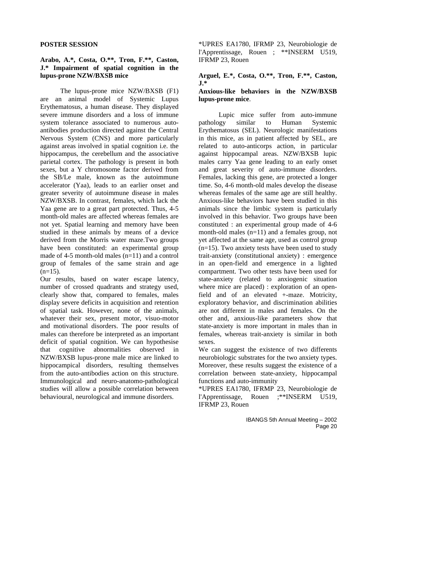#### **POSTER SESSION**

#### **Arabo, A.\*, Costa, O.\*\*, Tron, F.\*\*, Caston, J.\* Impairment of spatial cognition in the lupus-prone NZW/BXSB mice**

The lupus-prone mice NZW/BXSB (F1) are an animal model of Systemic Lupus Erythematosus, a human disease. They displayed severe immune disorders and a loss of immune system tolerance associated to numerous autoantibodies production directed against the Central Nervous System (CNS) and more particularly against areas involved in spatial cognition i.e. the hippocampus, the cerebellum and the associative parietal cortex. The pathology is present in both sexes, but a Y chromosome factor derived from the SB/Le male, known as the autoimmune accelerator (Yaa), leads to an earlier onset and greater severity of autoimmune disease in males NZW/BXSB. In contrast, females, which lack the Yaa gene are to a great part protected. Thus, 4-5 month-old males are affected whereas females are not yet. Spatial learning and memory have been studied in these animals by means of a device derived from the Morris water maze.Two groups have been constituted: an experimental group made of 4-5 month-old males (n=11) and a control group of females of the same strain and age  $(n=15)$ .

Our results, based on water escape latency, number of crossed quadrants and strategy used, clearly show that, compared to females, males display severe deficits in acquisition and retention of spatial task. However, none of the animals, whatever their sex, present motor, visuo-motor and motivational disorders. The poor results of males can therefore be interpreted as an important deficit of spatial cognition. We can hypothesise that cognitive abnormalities observed in NZW/BXSB lupus-prone male mice are linked to hippocampical disorders, resulting themselves from the auto-antibodies action on this structure. Immunological and neuro-anatomo-pathological studies will allow a possible correlation between behavioural, neurological and immune disorders.

\*UPRES EA1780, IFRMP 23, Neurobiologie de l'Apprentissage, Rouen ; \*\*INSERM U519, IFRMP 23, Rouen

## **Arguel, E.\*, Costa, O.\*\*, Tron, F.\*\*, Caston, J.\***

#### **Anxious-like behaviors in the NZW/BXSB lupus-prone mice**.

Lupic mice suffer from auto-immune pathology similar to Human Systemic Erythematosus (SEL). Neurologic manifestations in this mice, as in patient affected by SEL, are related to auto-anticorps action, in particular against hippocampal areas. NZW/BXSB lupic males carry Yaa gene leading to an early onset and great severity of auto-immune disorders. Females, lacking this gene, are protected a longer time. So, 4-6 month-old males develop the disease whereas females of the same age are still healthy. Anxious-like behaviors have been studied in this animals since the limbic system is particularly involved in this behavior. Two groups have been constituted : an experimental group made of 4-6 month-old males (n=11) and a females group, not yet affected at the same age, used as control group (n=15). Two anxiety tests have been used to study trait-anxiety (constitutional anxiety) : emergence in an open-field and emergence in a lighted compartment. Two other tests have been used for state-anxiety (related to anxiogenic situation where mice are placed) : exploration of an openfield and of an elevated +-maze. Motricity, exploratory behavior, and discrimination abilities are not different in males and females. On the other and, anxious-like parameters show that state-anxiety is more important in males than in females, whereas trait-anxiety is similar in both sexes.

We can suggest the existence of two differents neurobiologic substrates for the two anxiety types. Moreover, these results suggest the existence of a correlation between state-anxiety, hippocampal functions and auto-immunity

\*UPRES EA1780, IFRMP 23, Neurobiologie de l'Apprentissage, Rouen ;\*\*INSERM U519, IFRMP 23, Rouen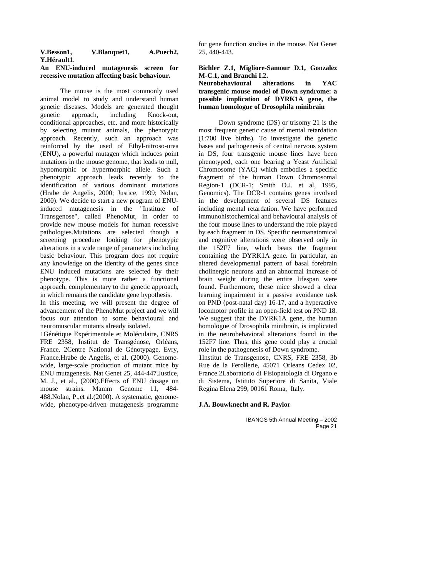#### **V.Besson1, V.Blanquet1, A.Puech2, Y.Hérault1**.

#### **An ENU-induced mutagenesis screen for recessive mutation affecting basic behaviour.**

The mouse is the most commonly used animal model to study and understand human genetic diseases. Models are generated thought genetic approach, including Knock-out, conditional approaches, etc. and more historically by selecting mutant animals, the phenotypic approach. Recently, such an approach was reinforced by the used of Ethyl-nitroso-urea (ENU), a powerful mutagen which induces point mutations in the mouse genome, that leads to null, hypomorphic or hypermorphic allele. Such a phenotypic approach leads recently to the identification of various dominant mutations (Hrabe de Angelis, 2000; Justice, 1999; Nolan, 2000). We decide to start a new program of ENUinduced mutagenesis in the "Institute of Transgenose", called PhenoMut, in order to provide new mouse models for human recessive pathologies.Mutations are selected though a screening procedure looking for phenotypic alterations in a wide range of parameters including basic behaviour. This program does not require any knowledge on the identity of the genes since ENU induced mutations are selected by their phenotype. This is more rather a functional approach, complementary to the genetic approach, in which remains the candidate gene hypothesis.

In this meeting, we will present the degree of advancement of the PhenoMut project and we will focus our attention to some behavioural and neuromuscular mutants already isolated.

1Génétique Expérimentale et Moléculaire, CNRS FRE 2358, Institut de Transgénose, Orléans, France. 2Centre National de Génotypage, Evry, France.Hrabe de Angelis, et al. (2000). Genomewide, large-scale production of mutant mice by ENU mutagenesis. Nat Genet 25, 444-447.Justice, M. J., et al., (2000).Effects of ENU dosage on mouse strains. Mamm Genome 11, 484- 488.Nolan, P.,et al.(2000). A systematic, genomewide, phenotype-driven mutagenesis programme for gene function studies in the mouse. Nat Genet 25, 440-443.

## **Bichler Z.1, Migliore-Samour D.1, Gonzalez M-C.1, and Branchi I.2.**

#### **Neurobehavioural alterations in YAC transgenic mouse model of Down syndrome: a possible implication of DYRK1A gene, the human homologue of Drosophila minibrain**

Down syndrome (DS) or trisomy 21 is the most frequent genetic cause of mental retardation (1:700 live births). To investigate the genetic bases and pathogenesis of central nervous system in DS, four transgenic mouse lines have been phenotyped, each one bearing a Yeast Artificial Chromosome (YAC) which embodies a specific fragment of the human Down Chromosomal Region-1 (DCR-1; Smith D.J. et al, 1995, Genomics). The DCR-1 contains genes involved in the development of several DS features including mental retardation. We have performed immunohistochemical and behavioural analysis of the four mouse lines to understand the role played by each fragment in DS. Specific neuroanatomical and cognitive alterations were observed only in the 152F7 line, which bears the fragment containing the DYRK1A gene. In particular, an altered developmental pattern of basal forebrain cholinergic neurons and an abnormal increase of brain weight during the entire lifespan were found. Furthermore, these mice showed a clear learning impairment in a passive avoidance task on PND (post-natal day) 16-17, and a hyperactive locomotor profile in an open-field test on PND 18. We suggest that the DYRK1A gene, the human homologue of Drosophila minibrain, is implicated in the neurobehavioral alterations found in the 152F7 line. Thus, this gene could play a crucial role in the pathogenesis of Down syndrome.

1Institut de Transgenose, CNRS, FRE 2358, 3b Rue de la Ferollerie, 45071 Orleans Cedex 02, France.2Laboratorio di Fisiopatologia di Organo e di Sistema, Istituto Superiore di Sanita, Viale Regina Elena 299, 00161 Roma, Italy.

#### **J.A. Bouwknecht and R. Paylor**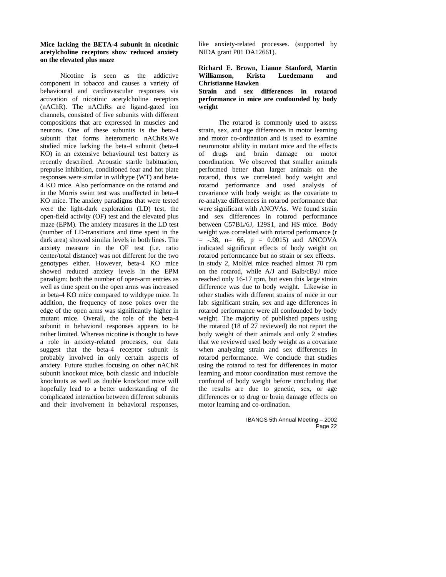#### **Mice lacking the BETA-4 subunit in nicotinic acetylcholine receptors show reduced anxiety on the elevated plus maze**

Nicotine is seen as the addictive component in tobacco and causes a variety of behavioural and cardiovascular responses via activation of nicotinic acetylcholine receptors (nAChR). The nAChRs are ligand-gated ion channels, consisted of five subunits with different compositions that are expressed in muscles and neurons. One of these subunits is the beta-4 subunit that forms heteromeric nAChRs.We studied mice lacking the beta-4 subunit (beta-4 KO) in an extensive behavioural test battery as recently described. Acoustic startle habituation, prepulse inhibition, conditioned fear and hot plate responses were similar in wildtype (WT) and beta-4 KO mice. Also performance on the rotarod and in the Morris swim test was unaffected in beta-4 KO mice. The anxiety paradigms that were tested were the light-dark exploration (LD) test, the open-field activity (OF) test and the elevated plus maze (EPM). The anxiety measures in the LD test (number of LD-transitions and time spent in the dark area) showed similar levels in both lines. The anxiety measure in the OF test (i.e. ratio center/total distance) was not different for the two genotypes either. However, beta-4 KO mice showed reduced anxiety levels in the EPM paradigm: both the number of open-arm entries as well as time spent on the open arms was increased in beta-4 KO mice compared to wildtype mice. In addition, the frequency of nose pokes over the edge of the open arms was significantly higher in mutant mice. Overall, the role of the beta-4 subunit in behavioral responses appears to be rather limited. Whereas nicotine is thought to have a role in anxiety-related processes, our data suggest that the beta-4 receptor subunit is probably involved in only certain aspects of anxiety. Future studies focusing on other nAChR subunit knockout mice, both classic and inducible knockouts as well as double knockout mice will hopefully lead to a better understanding of the complicated interaction between different subunits and their involvement in behavioral responses,

like anxiety-related processes. (supported by NIDA grant P01 DA12661).

#### **Richard E. Brown, Lianne Stanford, Martin Williamson, Krista Luedemann and Christianne Hawken**

#### **Strain and sex differences in rotarod performance in mice are confounded by body weight**

The rotarod is commonly used to assess strain, sex, and age differences in motor learning and motor co-ordination and is used to examine neuromotor ability in mutant mice and the effects of drugs and brain damage on motor coordination. We observed that smaller animals performed better than larger animals on the rotarod, thus we correlated body weight and rotarod performance and used analysis of covariance with body weight as the covariate to re-analyze differences in rotarod performance that were significant with ANOVAs. We found strain and sex differences in rotarod performance between C57BL/6J, 129S1, and HS mice. Body weight was correlated with rotarod performance (r  $=$  -.38, n= 66, p = 0.0015) and ANCOVA indicated significant effects of body weight on rotarod performcance but no strain or sex effects. In study 2, Molf/ei mice reached almost 70 rpm on the rotarod, while A/J and Balb/cByJ mice reached only 16-17 rpm, but even this large strain difference was due to body weight. Likewise in other studies with different strains of mice in our lab: significant strain, sex and age differences in rotarod performance were all confounded by body weight. The majority of published papers using the rotarod (18 of 27 reviewed) do not report the body weight of their animals and only 2 studies that we reviewed used body weight as a covariate when analyzing strain and sex differences in rotarod performance. We conclude that studies using the rotarod to test for differences in motor learning and motor coordination must remove the confound of body weight before concluding that the results are due to genetic, sex, or age differences or to drug or brain damage effects on motor learning and co-ordination.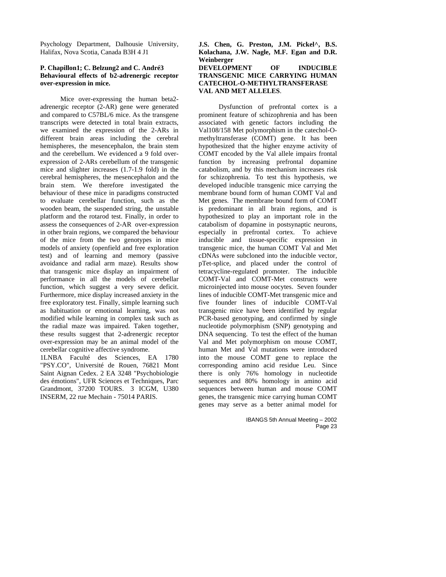Psychology Department, Dalhousie University, Halifax, Nova Scotia, Canada B3H 4 J1

#### **P. Chapillon1; C. Belzung2 and C. André3 Behavioural effects of b2-adrenergic receptor over-expression in mice.**

Mice over-expressing the human beta2 adrenergic receptor (2-AR) gene were generated and compared to C57BL/6 mice. As the transgene transcripts were detected in total brain extracts, we examined the expression of the 2-ARs in different brain areas including the cerebral hemispheres, the mesencephalon, the brain stem and the cerebellum. We evidenced a 9 fold overexpression of 2-ARs cerebellum of the transgenic mice and slighter increases (1.7-1.9 fold) in the cerebral hemispheres, the mesencephalon and the brain stem. We therefore investigated the behaviour of these mice in paradigms constructed to evaluate cerebellar function, such as the wooden beam, the suspended string, the unstable platform and the rotarod test. Finally, in order to assess the consequences of 2-AR over-expression in other brain regions, we compared the behaviour of the mice from the two genotypes in mice models of anxiety (openfield and free exploration test) and of learning and memory (passive avoidance and radial arm maze). Results show that transgenic mice display an impairment of performance in all the models of cerebellar function, which suggest a very severe deficit. Furthermore, mice display increased anxiety in the free exploratory test. Finally, simple learning such as habituation or emotional learning, was not modified while learning in complex task such as the radial maze was impaired. Taken together, these results suggest that 2-adrenergic receptor over-expression may be an animal model of the cerebellar cognitive affective syndrome. 1LNBA Faculté des Sciences, EA 1780

"PSY.CO", Université de Rouen, 76821 Mont Saint Aignan Cedex. 2 EA 3248 "Psychobiologie des émotions", UFR Sciences et Techniques, Parc Grandmont, 37200 TOURS. 3 ICGM, U380 INSERM, 22 rue Mechain - 75014 PARIS.

**J.S. Chen, G. Preston, J.M. Pickel^, B.S. Kolachana, J.W. Nagle, M.F. Egan and D.R. Weinberger DEVELOPMENT OF INDUCIBLE TRANSGENIC MICE CARRYING HUMAN CATECHOL-O-METHYLTRANSFERASE** 

**VAL AND MET ALLELES**.

Dysfunction of prefrontal cortex is a prominent feature of schizophrenia and has been associated with genetic factors including the Val108/158 Met polymorphism in the catechol-Omethyltransferase (COMT) gene. It has been hypothesized that the higher enzyme activity of COMT encoded by the Val allele impairs frontal function by increasing prefrontal dopamine catabolism, and by this mechanism increases risk for schizophrenia. To test this hypothesis, we developed inducible transgenic mice carrying the membrane bound form of human COMT Val and Met genes. The membrane bound form of COMT is predominant in all brain regions, and is hypothesized to play an important role in the catabolism of dopamine in postsynaptic neurons, especially in prefrontal cortex. To achieve inducible and tissue-specific expression in transgenic mice, the human COMT Val and Met cDNAs were subcloned into the inducible vector, pTet-splice, and placed under the control of tetracycline-regulated promoter. The inducible COMT-Val and COMT-Met constructs were microinjected into mouse oocytes. Seven founder lines of inducible COMT-Met transgenic mice and five founder lines of inducible COMT-Val transgenic mice have been identified by regular PCR-based genotyping, and confirmed by single nucleotide polymorphism (SNP) genotyping and DNA sequencing. To test the effect of the human Val and Met polymorphism on mouse COMT, human Met and Val mutations were introduced into the mouse COMT gene to replace the corresponding amino acid residue Leu. Since there is only 76% homology in nucleotide sequences and 80% homology in amino acid sequences between human and mouse COMT genes, the transgenic mice carrying human COMT genes may serve as a better animal model for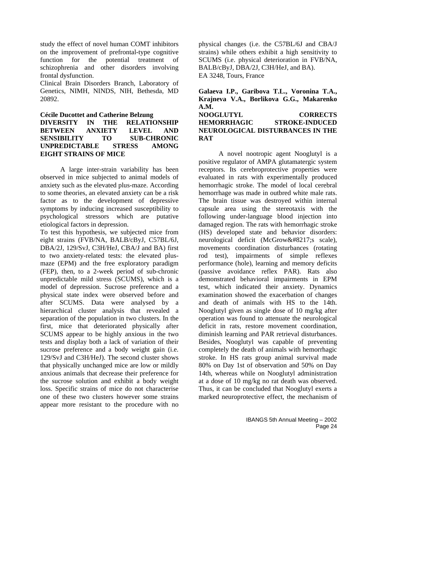study the effect of novel human COMT inhibitors on the improvement of prefrontal-type cognitive function for the potential treatment of schizophrenia and other disorders involving frontal dysfunction.

Clinical Brain Disorders Branch, Laboratory of Genetics, NIMH, NINDS, NIH, Bethesda, MD 20892.

#### **Cécile Ducottet and Catherine Belzung DIVERSITY IN THE RELATIONSHIP BETWEEN ANXIETY LEVEL AND SENSIBILITY TO SUB-CHRONIC UNPREDICTABLE STRESS AMONG EIGHT STRAINS OF MICE**

A large inter-strain variability has been observed in mice subjected to animal models of anxiety such as the elevated plus-maze. According to some theories, an elevated anxiety can be a risk factor as to the development of depressive symptoms by inducing increased susceptibility to psychological stressors which are putative etiological factors in depression.

To test this hypothesis, we subjected mice from eight strains (FVB/NA, BALB/cByJ, C57BL/6J, DBA/2J, 129/SvJ, C3H/HeJ, CBA/J and BA) first to two anxiety-related tests: the elevated plusmaze (EPM) and the free exploratory paradigm (FEP), then, to a 2-week period of sub-chronic unpredictable mild stress (SCUMS), which is a model of depression. Sucrose preference and a physical state index were observed before and after SCUMS. Data were analysed by a hierarchical cluster analysis that revealed a separation of the population in two clusters. In the first, mice that deteriorated physically after SCUMS appear to be highly anxious in the two tests and display both a lack of variation of their sucrose preference and a body weight gain (i.e. 129/SvJ and C3H/HeJ). The second cluster shows that physically unchanged mice are low or mildly anxious animals that decrease their preference for the sucrose solution and exhibit a body weight loss. Specific strains of mice do not characterise one of these two clusters however some strains appear more resistant to the procedure with no

physical changes (i.e. the C57BL/6J and CBA/J strains) while others exhibit a high sensitivity to SCUMS (i.e. physical deterioration in FVB/NA, BALB/cByJ, DBA/2J, C3H/HeJ, and BA). EA 3248, Tours, France

**Galaeva I.P., Garibova T.L., Voronina T.A., Krajneva V.A., Borlikova G.G., Makarenko A.M. NOOGLUTYL CORRECTS HEMORRHAGIC STROKE-INDUCED NEUROLOGICAL DISTURBANCES IN THE RAT**

A novel nootropic agent Nooglutyl is a positive regulator of AMPA glutamatergic system receptors. Its cerebroprotective properties were evaluated in rats with experimentally produced hemorrhagic stroke. The model of local cerebral hemorrhage was made in outbred white male rats. The brain tissue was destroyed within internal capsule area using the stereotaxis with the following under-language blood injection into damaged region. The rats with hemorrhagic stroke (HS) developed state and behavior disorders: neurological deficit (McGrow's scale), movements coordination disturbances (rotating rod test), impairments of simple reflexes performance (hole), learning and memory deficits (passive avoidance reflex PAR). Rats also demonstrated behavioral impairments in EPM test, which indicated their anxiety. Dynamics examination showed the exacerbation of changes and death of animals with HS to the 14th. Nooglutyl given as single dose of 10 mg/kg after operation was found to attenuate the neurological deficit in rats, restore movement coordination, diminish learning and PAR retrieval disturbances. Besides, Nooglutyl was capable of preventing completely the death of animals with hemorrhagic stroke. In HS rats group animal survival made 80% on Day 1st of observation and 50% on Day 14th, whereas while on Nooglutyl administration at a dose of 10 mg/kg no rat death was observed. Thus, it can be concluded that Nooglutyl exerts a marked neuroprotective effect, the mechanism of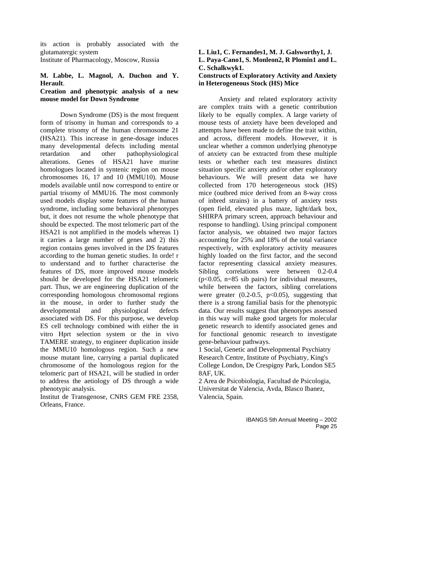its action is probably associated with the glutamatergic system Institute of Pharmacology, Moscow, Russia

#### **M. Labbe, L. Magnol, A. Duchon and Y. Herault**.

#### **Creation and phenotypic analysis of a new mouse model for Down Syndrome**

Down Syndrome (DS) is the most frequent form of trisomy in human and corresponds to a complete trisomy of the human chromosome 21 (HSA21). This increase in gene-dosage induces many developmental defects including mental retardation and other pathophysiological alterations. Genes of HSA21 have murine homologues located in syntenic region on mouse chromosomes 16, 17 and 10 (MMU10). Mouse models available until now correspond to entire or partial trisomy of MMU16. The most commonly used models display some features of the human syndrome, including some behavioral phenotypes but, it does not resume the whole phenotype that should be expected. The most telomeric part of the HSA21 is not amplified in the models whereas 1) it carries a large number of genes and 2) this region contains genes involved in the DS features according to the human genetic studies. In orde! r to understand and to further characterise the features of DS, more improved mouse models should be developed for the HSA21 telomeric part. Thus, we are engineering duplication of the corresponding homologous chromosomal regions in the mouse, in order to further study the developmental and physiological defects associated with DS. For this purpose, we develop ES cell technology combined with either the in vitro Hprt selection system or the in vivo TAMERE strategy, to engineer duplication inside the MMU10 homologous region. Such a new mouse mutant line, carrying a partial duplicated chromosome of the homologous region for the telomeric part of HSA21, will be studied in order to address the aetiology of DS through a wide phenotypic analysis.

Institut de Transgenose, CNRS GEM FRE 2358, Orleans, France.

#### **L. Liu1, C. Fernandes1, M. J. Galsworthy1, J. L. Paya-Cano1, S. Monleon2, R Plomin1 and L. C. Schalkwyk1.**

#### **Constructs of Exploratory Activity and Anxiety in Heterogeneous Stock (HS) Mice**

Anxiety and related exploratory activity are complex traits with a genetic contribution likely to be equally complex. A large variety of mouse tests of anxiety have been developed and attempts have been made to define the trait within, and across, different models. However, it is unclear whether a common underlying phenotype of anxiety can be extracted from these multiple tests or whether each test measures distinct situation specific anxiety and/or other exploratory behaviours. We will present data we have collected from 170 heterogeneous stock (HS) mice (outbred mice derived from an 8-way cross of inbred strains) in a battery of anxiety tests (open field, elevated plus maze, light/dark box, SHIRPA primary screen, approach behaviour and response to handling). Using principal component factor analysis, we obtained two major factors accounting for 25% and 18% of the total variance respectively, with exploratory activity measures highly loaded on the first factor, and the second factor representing classical anxiety measures. Sibling correlations were between 0.2-0.4  $(p<0.05, n=85$  sib pairs) for individual measures, while between the factors, sibling correlations were greater  $(0.2-0.5, p<0.05)$ , suggesting that there is a strong familial basis for the phenotypic data. Our results suggest that phenotypes assessed in this way will make good targets for molecular genetic research to identify associated genes and for functional genomic research to investigate gene-behaviour pathways.

1 Social, Genetic and Developmental Psychiatry Research Centre, Institute of Psychiatry, King's College London, De Crespigny Park, London SE5 8AF, UK.

2 Area de Psicobiologia, Facultad de Psicologia, Universitat de Valencia, Avda, Blasco Ibanez, Valencia, Spain.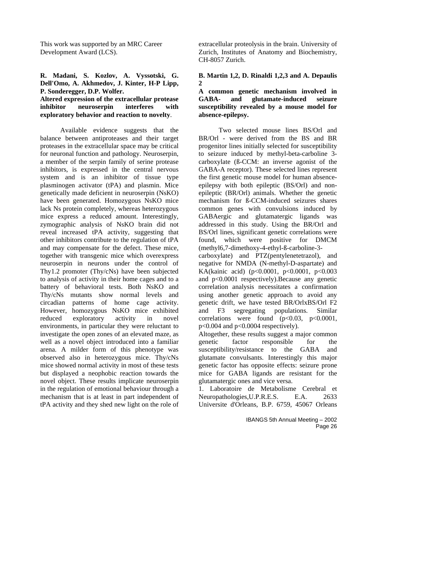This work was supported by an MRC Career Development Award (LCS).

#### **R. Madani, S. Kozlov, A. Vyssotski, G. Dell'Omo, A. Akhmedov, J. Kinter, H-P Lipp, P. Sonderegger, D.P. Wolfer.**

#### **Altered expression of the extracellular protease inhibitor neuroserpin interferes with exploratory behavior and reaction to novelty**.

Available evidence suggests that the balance between antiproteases and their target proteases in the extracellular space may be critical for neuronal function and pathology. Neuroserpin, a member of the serpin family of serine protease inhibitors, is expressed in the central nervous system and is an inhibitor of tissue type plasminogen activator (tPA) and plasmin. Mice genetically made deficient in neuroserpin (NsKO) have been generated. Homozygous NsKO mice lack Ns protein completely, whereas heterozygous mice express a reduced amount. Interestingly, zymographic analysis of NsKO brain did not reveal increased tPA activity, suggesting that other inhibitors contribute to the regulation of tPA and may compensate for the defect. These mice, together with transgenic mice which overexpress neuroserpin in neurons under the control of Thy1.2 promoter (Thy/cNs) have been subjected to analysis of activity in their home cages and to a battery of behavioral tests. Both NsKO and Thy/cNs mutants show normal levels and circadian patterns of home cage activity. However, homozygous NsKO mice exhibited reduced exploratory activity in novel environments, in particular they were reluctant to investigate the open zones of an elevated maze, as well as a novel object introduced into a familiar arena. A milder form of this phenotype was observed also in heterozygous mice. Thy/cNs mice showed normal activity in most of these tests but displayed a neophobic reaction towards the novel object. These results implicate neuroserpin in the regulation of emotional behaviour through a mechanism that is at least in part independent of tPA activity and they shed new light on the role of

extracellular proteolysis in the brain. University of Zurich, Institutes of Anatomy and Biochemistry, CH-8057 Zurich.

#### **B. Martin 1,2, D. Rinaldi 1,2,3 and A. Depaulis**   $\boldsymbol{2}$

#### **A common genetic mechanism involved in GABA- and glutamate-induced seizure susceptibility revealed by a mouse model for absence-epilepsy.**

Two selected mouse lines BS/Orl and BR/Orl - were derived from the BS and BR progenitor lines initially selected for susceptibility to seizure induced by methyl-beta-carboline 3 carboxylate (ß-CCM: an inverse agonist of the GABA-A receptor). These selected lines represent the first genetic mouse model for human absenceepilepsy with both epileptic (BS/Orl) and nonepileptic (BR/Orl) animals. Whether the genetic mechanism for ß-CCM-induced seizures shares common genes with convulsions induced by GABAergic and glutamatergic ligands was addressed in this study. Using the BR/Orl and BS/Orl lines, significant genetic correlations were found, which were positive for DMCM (methyl6,7-dimethoxy-4-ethyl-ß-carboline-3-

carboxylate) and PTZ(pentylenetetrazol), and negative for NMDA (N-methyl-D-aspartate) and KA(kainic acid) (p<0.0001, p<0.0001, p<0.003 and p<0.0001 respectively).Because any genetic correlation analysis necessitates a confirmation using another genetic approach to avoid any genetic drift, we have tested BR/OrlxBS/Orl F2 and F3 segregating populations. Similar correlations were found  $(p<0.03, p<0.0001,$ p<0.004 and p<0.0004 respectively).

Altogether, these results suggest a major common genetic factor responsible for the susceptibility/resistance to the GABA and glutamate convulsants. Interestingly this major genetic factor has opposite effects: seizure prone mice for GABA ligands are resistant for the glutamatergic ones and vice versa.

1. Laboratoire de Metabolisme Cerebral et Neuropathologies,U.P.R.E.S. E.A. 2633 Universite d'Orleans, B.P. 6759, 45067 Orleans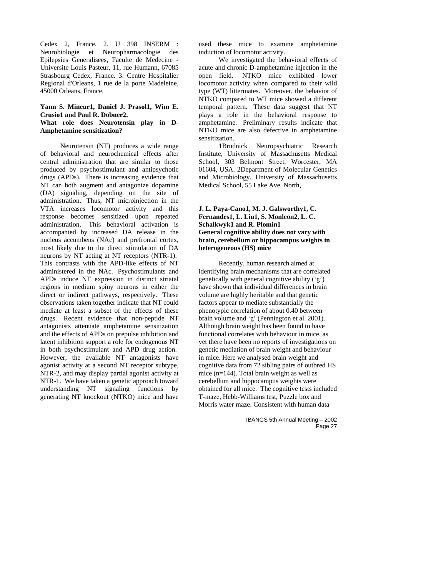Cedex 2, France. 2. U 398 INSERM : Neurobiologie et Neuropharmacologie des Epilepsies Generalisees, Faculte de Medecine - Universite Louis Pasteur, 11, rue Humann, 67085 Strasbourg Cedex, France. 3. Centre Hospitalier Regional d'Orleans, 1 rue de la porte Madeleine, 45000 Orleans, France.

## **Yann S. Mineur1, Daniel J. Prasol1, Wim E. Crusio1 and Paul R. Dobner2.**

#### **What role does Neurotensin play in D-Amphetamine sensitization?**

Neurotensin (NT) produces a wide range of behavioral and neurochemical effects after central administration that are similar to those produced by psychostimulant and antipsychotic drugs (APDs). There is increasing evidence that NT can both augment and antagonize dopamine (DA) signaling, depending on the site of administration. Thus, NT microinjection in the VTA increases locomotor activity and this response becomes sensitized upon repeated administration. This behavioral activation is accompanied by increased DA release in the nucleus accumbens (NAc) and prefrontal cortex, most likely due to the direct stimulation of DA neurons by NT acting at NT receptors (NTR-1). This contrasts with the APD-like effects of NT administered in the NAc. Psychostimulants and APDs induce NT expression in distinct striatal regions in medium spiny neurons in either the direct or indirect pathways, respectively. These observations taken together indicate that NT could mediate at least a subset of the effects of these drugs. Recent evidence that non-peptide NT antagonists attenuate amphetamine sensitization and the effects of APDs on prepulse inhibition and latent inhibition support a role for endogenous NT in both psychostimulant and APD drug action. However, the available NT antagonists have agonist activity at a second NT receptor subtype, NTR-2, and may display partial agonist activity at NTR-1. We have taken a genetic approach toward understanding NT signaling functions by generating NT knockout (NTKO) mice and have

used these mice to examine amphetamine induction of locomotor activity.

We investigated the behavioral effects of acute and chronic D-amphetamine injection in the open field. NTKO mice exhibited lower locomotor activity when compared to their wild type (WT) littermates. Moreover, the behavior of NTKO compared to WT mice showed a different temporal pattern. These data suggest that NT plays a role in the behavioral response to amphetamine. Preliminary results indicate that NTKO mice are also defective in amphetamine sensitization.

1Brudnick Neuropsychiatric Research Institute, University of Massachusetts Medical School, 303 Belmont Street, Worcester, MA 01604, USA. 2Department of Molecular Genetics and Microbiology, University of Massachusetts Medical School, 55 Lake Ave. North,

#### **J. L. Paya-Cano1, M. J. Galsworthy1, C. Fernandes1, L. Liu1, S. Monleon2, L. C. Schalkwyk1 and R. Plomin1 General cognitive ability does not vary with brain, cerebellum or hippocampus weights in heterogeneous (HS) mice**

Recently, human research aimed at identifying brain mechanisms that are correlated genetically with general cognitive ability ('g') have shown that individual differences in brain volume are highly heritable and that genetic factors appear to mediate substantially the phenotypic correlation of about 0.40 between brain volume and 'g' (Pennington et al. 2001). Although brain weight has been found to have functional correlates with behaviour in mice, as yet there have been no reports of investigations on genetic mediation of brain weight and behaviour in mice. Here we analysed brain weight and cognitive data from 72 sibling pairs of outbred HS mice (n=144). Total brain weight as well as cerebellum and hippocampus weights were obtained for all mice. The cognitive tests included T-maze, Hebb-Williams test, Puzzle box and Morris water maze. Consistent with human data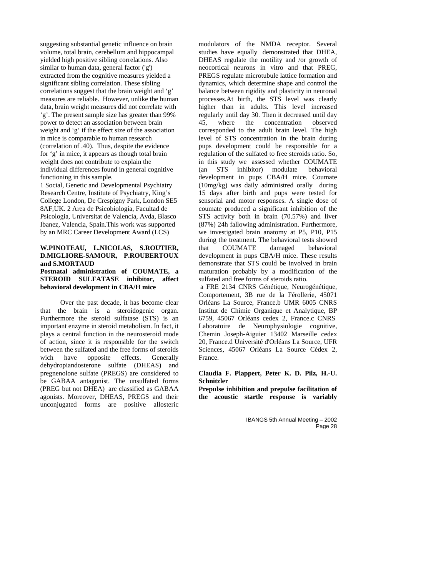suggesting substantial genetic influence on brain volume, total brain, cerebellum and hippocampal yielded high positive sibling correlations. Also similar to human data, general factor ('g') extracted from the cognitive measures yielded a significant sibling correlation. These sibling correlations suggest that the brain weight and 'g' measures are reliable. However, unlike the human data, brain weight measures did not correlate with 'g'. The present sample size has greater than 99% power to detect an association between brain weight and 'g' if the effect size of the association in mice is comparable to human research (correlation of .40). Thus, despite the evidence for 'g' in mice, it appears as though total brain weight does not contribute to explain the individual differences found in general cognitive functioning in this sample.

1 Social, Genetic and Developmental Psychiatry Research Centre, Institute of Psychiatry, King's College London, De Crespigny Park, London SE5 8AF,UK. 2 Area de Psicobiologia, Facultad de Psicologia, Universitat de Valencia, Avda, Blasco Ibanez, Valencia, Spain.This work was supported by an MRC Career Development Award (LCS)

#### **W.PINOTEAU, L.NICOLAS, S.ROUTIER, D.MIGLIORE-SAMOUR, P.ROUBERTOUX and S.MORTAUD**

#### **Postnatal administration of COUMATE, a STEROID SULFATASE inhibitor, affect behavioral development in CBA/H mice**

Over the past decade, it has become clear that the brain is a steroidogenic organ. Furthermore the steroid sulfatase (STS) is an important enzyme in steroid metabolism. In fact, it plays a central function in the neurosteroid mode of action, since it is responsible for the switch between the sulfated and the free forms of steroids wich have opposite effects. Generally dehydropiandosterone sulfate (DHEAS) and pregnenolone sulfate (PREGS) are considered to be GABAA antagonist. The unsulfated forms (PREG but not DHEA) are classified as GABAA agonists. Moreover, DHEAS, PREGS and their unconjugated forms are positive allosteric

modulators of the NMDA receptor. Several studies have equally demonstrated that DHEA, DHEAS regulate the motility and /or growth of neocortical neurons in vitro and that PREG, PREGS regulate microtubule lattice formation and dynamics, which determine shape and control the balance between rigidity and plasticity in neuronal processes.At birth, the STS level was clearly higher than in adults. This level increased regularly until day 30. Then it decreased until day 45, where the concentration observed corresponded to the adult brain level. The high level of STS concentration in the brain during pups development could be responsible for a regulation of the sulfated to free steroids ratio. So, in this study we assessed whether COUMATE (an STS inhibitor) modulate behavioral development in pups CBA/H mice. Coumate (10mg/kg) was daily administred orally during 15 days after birth and pups were tested for sensorial and motor responses. A single dose of coumate produced a significant inhibition of the STS activity both in brain (70.57%) and liver (87%) 24h fallowing administration. Furthermore, we investigated brain anatomy at P5, P10, P15 during the treatment. The behavioral tests showed that COUMATE damaged behavioral development in pups CBA/H mice. These results demonstrate that STS could be involved in brain maturation probably by a modification of the sulfated and free forms of steroids ratio.

 a FRE 2134 CNRS Génétique, Neurogénétique, Comportement, 3B rue de la Férollerie, 45071 Orléans La Source, France.b UMR 6005 CNRS Institut de Chimie Organique et Analytique, BP 6759, 45067 Orléans cedex 2, France.c CNRS Laboratoire de Neurophysiologie cognitive, Chemin Joseph-Aiguier 13402 Marseille cedex 20, France.d Université d'Orléans La Source, UFR Sciences, 45067 Orléans La Source Cédex 2, France.

#### **Claudia F. Plappert, Peter K. D. Pilz, H.-U. Schnitzler**

**Prepulse inhibition and prepulse facilitation of the acoustic startle response is variably**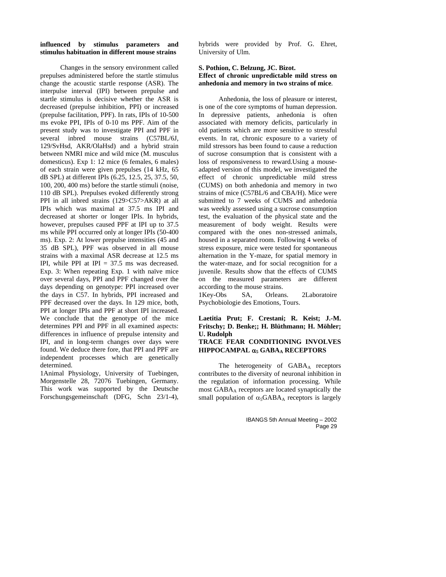#### **influenced by stimulus parameters and stimulus habituation in different mouse strains**

Changes in the sensory environment called prepulses administered before the startle stimulus change the acoustic startle response (ASR). The interpulse interval (IPI) between prepulse and startle stimulus is decisive whether the ASR is decreased (prepulse inhibition, PPI) or increased (prepulse facilitation, PPF). In rats, IPIs of 10-500 ms evoke PPI, IPIs of 0-10 ms PPF. Aim of the present study was to investigate PPI and PPF in several inbred mouse strains (C57BL/6J, 129/SvHsd, AKR/OlaHsd) and a hybrid strain between NMRI mice and wild mice (M. musculus domesticus). Exp 1: 12 mice (6 females, 6 males) of each strain were given prepulses (14 kHz, 65 dB SPL) at different IPIs (6.25, 12.5, 25, 37.5, 50, 100, 200, 400 ms) before the startle stimuli (noise, 110 dB SPL). Prepulses evoked differently strong PPI in all inbred strains (129>C57>AKR) at all IPIs which was maximal at 37.5 ms IPI and decreased at shorter or longer IPIs. In hybrids, however, prepulses caused PPF at IPI up to 37.5 ms while PPI occurred only at longer IPIs (50-400 ms). Exp. 2: At lower prepulse intensities (45 and 35 dB SPL), PPF was observed in all mouse strains with a maximal ASR decrease at 12.5 ms IPI, while PPI at IPI  $= 37.5$  ms was decreased. Exp. 3: When repeating Exp. 1 with naïve mice over several days, PPI and PPF changed over the days depending on genotype: PPI increased over the days in C57. In hybrids, PPI increased and PPF decreased over the days. In 129 mice, both, PPI at longer IPIs and PPF at short IPI increased. We conclude that the genotype of the mice determines PPI and PPF in all examined aspects: differences in influence of prepulse intensity and IPI, and in long-term changes over days were found. We deduce there fore, that PPI and PPF are independent processes which are genetically determined.

1Animal Physiology, University of Tuebingen, Morgenstelle 28, 72076 Tuebingen, Germany. This work was supported by the Deutsche Forschungsgemeinschaft (DFG, Schn 23/1-4), hybrids were provided by Prof. G. Ehret, University of Ulm.

#### **S. Pothion, C. Belzung, JC. Bizot. Effect of chronic unpredictable mild stress on anhedonia and memory in two strains of mice**.

Anhedonia, the loss of pleasure or interest, is one of the core symptoms of human depression. In depressive patients, anhedonia is often associated with memory deficits, particularly in old patients which are more sensitive to stressful events. In rat, chronic exposure to a variety of mild stressors has been found to cause a reduction of sucrose consumption that is consistent with a loss of responsiveness to reward.Using a mouseadapted version of this model, we investigated the effect of chronic unpredictable mild stress (CUMS) on both anhedonia and memory in two strains of mice (C57BL/6 and CBA/H). Mice were submitted to 7 weeks of CUMS and anhedonia was weekly assessed using a sucrose consumption test, the evaluation of the physical state and the measurement of body weight. Results were compared with the ones non-stressed animals, housed in a separated room. Following 4 weeks of stress exposure, mice were tested for spontaneous alternation in the Y-maze, for spatial memory in the water-maze, and for social recognition for a juvenile. Results show that the effects of CUMS on the measured parameters are different according to the mouse strains.

1Key-Obs SA, Orleans. 2Laboratoire Psychobiologie des Emotions, Tours.

#### **Laetitia Prut; F. Crestani; R. Keist; J.-M. Fritschy; D. Benke;; H. Blüthmann; H. Möhler; U. Rudolph TRACE FEAR CONDITIONING INVOLVES**

# **HIPPOCAMPAL** α**5 GABAA RECEPTORS**

The heterogeneity of GABAA receptors contributes to the diversity of neuronal inhibition in the regulation of information processing. While most GABAA receptors are located synaptically the small population of  $\alpha_5GABA_A$  receptors is largely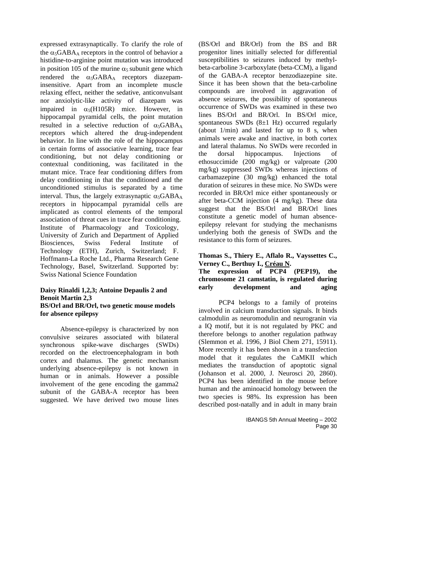expressed extrasynaptically. To clarify the role of the  $\alpha_5GABA_A$  receptors in the control of behavior a histidine-to-arginine point mutation was introduced in position 105 of the murine  $\alpha_5$  subunit gene which rendered the  $\alpha_5 GABA_A$  receptors diazepaminsensitive. Apart from an incomplete muscle relaxing effect, neither the sedative, anticonvulsant nor anxiolytic-like activity of diazepam was impaired in  $\alpha_5(H105R)$  mice. However, in hippocampal pyramidal cells, the point mutation resulted in a selective reduction of  $\alpha_5GABA_A$ receptors which altered the drug-independent behavior. In line with the role of the hippocampus in certain forms of associative learning, trace fear conditioning, but not delay conditioning or contextual conditioning, was facilitated in the mutant mice. Trace fear conditioning differs from delay conditioning in that the conditioned and the unconditioned stimulus is separated by a time interval. Thus, the largely extrasynaptic  $\alpha_5$ GABA<sub>A</sub> receptors in hippocampal pyramidal cells are implicated as control elements of the temporal association of threat cues in trace fear conditioning. Institute of Pharmacology and Toxicology, University of Zurich and Department of Applied Biosciences, Swiss Federal Institute of Technology (ETH), Zurich, Switzerland; F. Hoffmann-La Roche Ltd., Pharma Research Gene Technology, Basel, Switzerland. Supported by: Swiss National Science Foundation

#### **Daisy Rinaldi 1,2,3; Antoine Depaulis 2 and Benoit Martin 2,3 BS/Orl and BR/Orl, two genetic mouse models for absence epilepsy**

Absence-epilepsy is characterized by non convulsive seizures associated with bilateral synchronous spike-wave discharges (SWDs) recorded on the electroencephalogram in both cortex and thalamus. The genetic mechanism underlying absence-epilepsy is not known in human or in animals. However a possible involvement of the gene encoding the gamma2 subunit of the GABA-A receptor has been suggested. We have derived two mouse lines

(BS/Orl and BR/Orl) from the BS and BR progenitor lines initially selected for differential susceptibilities to seizures induced by methylbeta-carboline 3-carboxylate (beta-CCM), a ligand of the GABA-A receptor benzodiazepine site. Since it has been shown that the beta-carboline compounds are involved in aggravation of absence seizures, the possibility of spontaneous occurrence of SWDs was examined in these two lines BS/Orl and BR/Orl. In BS/Orl mice, spontaneous SWDs  $(8\pm1 \text{ Hz})$  occurred regularly (about 1/min) and lasted for up to 8 s, when animals were awake and inactive, in both cortex and lateral thalamus. No SWDs were recorded in the dorsal hippocampus. Injections of ethosuccimide (200 mg/kg) or valproate (200 mg/kg) suppressed SWDs whereas injections of carbamazepine (30 mg/kg) enhanced the total duration of seizures in these mice. No SWDs were recorded in BR/Orl mice either spontaneously or after beta-CCM injection (4 mg/kg). These data suggest that the BS/Orl and BR/Orl lines constitute a genetic model of human absenceepilepsy relevant for studying the mechanisms underlying both the genesis of SWDs and the resistance to this form of seizures.

#### **Thomas S., Thiery E., Aflalo R., Vayssettes C., Verney C., Berthuy I., Créau N. The expression of PCP4 (PEP19), the chromosome 21 camstatin, is regulated during early development and aging**

PCP4 belongs to a family of proteins involved in calcium transduction signals. It binds calmodulin as neuromodulin and neurogranin via a IQ motif, but it is not regulated by PKC and therefore belongs to another regulation pathway (Slemmon et al. 1996, J Biol Chem 271, 15911). More recently it has been shown in a transfection model that it regulates the CaMKII which mediates the transduction of apoptotic signal (Johanson et al. 2000, J. Neurosci 20, 2860). PCP4 has been identified in the mouse before human and the aminoacid homology between the two species is 98%. Its expression has been described post-natally and in adult in many brain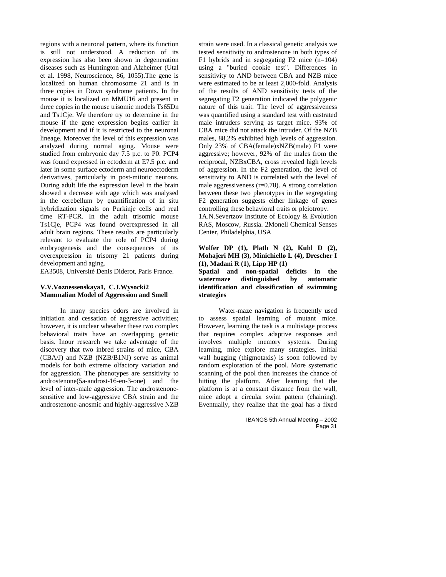regions with a neuronal pattern, where its function is still not understood. A reduction of its expression has also been shown in degeneration diseases such as Huntington and Alzheimer (Utal et al. 1998, Neuroscience, 86, 1055).The gene is localized on human chromosome 21 and is in three copies in Down syndrome patients. In the mouse it is localized on MMU16 and present in three copies in the mouse trisomic models Ts65Dn and Ts1Cje. We therefore try to determine in the mouse if the gene expression begins earlier in development and if it is restricted to the neuronal lineage. Moreover the level of this expression was analyzed during normal aging. Mouse were studied from embryonic day 7.5 p.c. to P0. PCP4 was found expressed in ectoderm at E7.5 p.c. and later in some surface ectoderm and neuroectoderm derivatives, particularly in post-mitotic neurons. During adult life the expression level in the brain showed a decrease with age which was analysed in the cerebellum by quantification of in situ hybridization signals on Purkinje cells and real time RT-PCR. In the adult trisomic mouse Ts1Cje, PCP4 was found overexpressed in all adult brain regions. These results are particularly relevant to evaluate the role of PCP4 during embryogenesis and the consequences of its overexpression in trisomy 21 patients during development and aging.

EA3508, Université Denis Diderot, Paris France.

#### **V.V.Voznessenskaya1, C.J.Wysocki2 Mammalian Model of Aggression and Smell**

In many species odors are involved in initiation and cessation of aggressive activities; however, it is unclear wheather these two complex behavioral traits have an overlapping genetic basis. Inour research we take adventage of the discovery that two inbred strains of mice, CBA (CBA/J) and NZB (NZB/B1NJ) serve as animal models for both extreme olfactory variation and for aggression. The phenotypes are sensitivity to androstenone(5a-androst-16-en-3-one) and the level of inter-male aggression. The androstenonesensitive and low-aggressive CBA strain and the androstenone-anosmic and highly-aggressive NZB

strain were used. In a classical genetic analysis we tested sensitivity to androstenone in both types of F1 hybrids and in segregating F2 mice (n=104) using a "buried cookie test". Differences in sensitivity to AND between CBA and NZB mice were estimated to be at least 2,000-fold. Analysis of the results of AND sensitivity tests of the segregating F2 generation indicated the polygenic nature of this trait. The level of aggressiveness was quantified using a standard test with castrated male intruders serving as target mice. 93% of CBA mice did not attack the intruder. Of the NZB males, 88,2% exhibited high levels of aggression. Only 23% of CBA(female)xNZB(male) F1 were aggressive; however, 92% of the males from the reciprocal, NZBxCBA, cross revealed high levels of aggression. In the F2 generation, the level of sensitivity to AND is correlated with the level of male aggressiveness  $(r=0.78)$ . A strong correlation between these two phenotypes in the segregating F2 generation suggests either linkage of genes controlling these behavioral traits or pleiotropy.

1A.N.Severtzov Institute of Ecology & Evolution RAS, Moscow, Russia. 2Monell Chemical Senses Center, Philadelphia, USA

#### **Wolfer DP (1), Plath N (2), Kuhl D (2), Mohajeri MH (3), Minichiello L (4), Drescher I (1), Madani R (1), Lipp HP (1)**

**Spatial and non-spatial deficits in the watermaze distinguished by automatic identification and classification of swimming strategies** 

Water-maze navigation is frequently used to assess spatial learning of mutant mice. However, learning the task is a multistage process that requires complex adaptive responses and involves multiple memory systems. During learning, mice explore many strategies. Initial wall hugging (thigmotaxis) is soon followed by random exploration of the pool. More systematic scanning of the pool then increases the chance of hitting the platform. After learning that the platform is at a constant distance from the wall, mice adopt a circular swim pattern (chaining). Eventually, they realize that the goal has a fixed